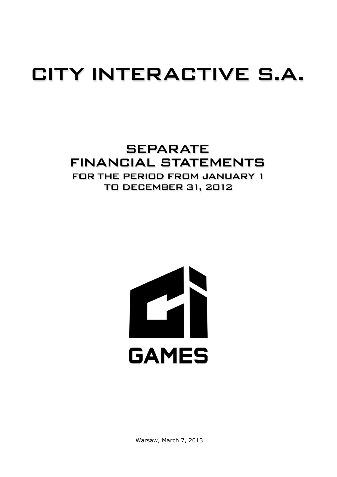# CITY INTERACTIVE S.A.

## **SEPARATE FINANCIAL STATEMENTS** FOR THE PERIOD FROM JANUARY 1 **TO DECEMBER 31, 2012**



Warsaw, March 7, 2013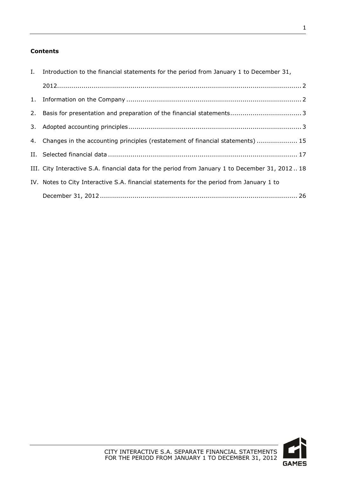### **Contents**

| I. Introduction to the financial statements for the period from January 1 to December 31,      |
|------------------------------------------------------------------------------------------------|
|                                                                                                |
|                                                                                                |
|                                                                                                |
|                                                                                                |
| 4. Changes in the accounting principles (restatement of financial statements)  15              |
|                                                                                                |
| III. City Interactive S.A. financial data for the period from January 1 to December 31, 201218 |
| IV. Notes to City Interactive S.A. financial statements for the period from January 1 to       |
|                                                                                                |

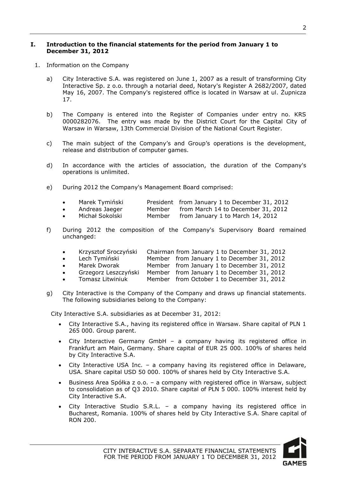#### <span id="page-2-0"></span>**I. Introduction to the financial statements for the period from January 1 to December 31, 2012**

- <span id="page-2-1"></span>1. Information on the Company
	- a) City Interactive S.A. was registered on June 1, 2007 as a result of transforming City Interactive Sp. z o.o. through a notarial deed, Notary's Register A 2682/2007, dated May 16, 2007. The Company's registered office is located in Warsaw at ul. Żupnicza 17.
	- b) The Company is entered into the Register of Companies under entry no. KRS 0000282076. The entry was made by the District Court for the Capital City of Warsaw in Warsaw, 13th Commercial Division of the National Court Register.
	- c) The main subject of the Company's and Group's operations is the development, release and distribution of computer games.
	- d) In accordance with the articles of association, the duration of the Company's operations is unlimited.
	- e) During 2012 the Company's Management Board comprised:

|  | Marek Tymiński |  | President from January 1 to December 31, 2012 |  |  |  |  |
|--|----------------|--|-----------------------------------------------|--|--|--|--|
|--|----------------|--|-----------------------------------------------|--|--|--|--|

- Andreas Jaeger Member from March 14 to December 31, 2012<br>• Michał Sokolski Member from January 1 to March 14, 2012
- Member from January 1 to March 14, 2012
- f) During 2012 the composition of the Company's Supervisory Board remained unchanged:
	- Krzysztof Sroczyński Chairman from January 1 to December 31, 2012
	- Lech Tymiński Member from January 1 to December 31, 2012
	- Marek Dworak Member from January 1 to December 31, 2012
	- Grzegorz Leszczyński Member from January 1 to December 31, 2012<br>• Tomasz Litwiniuk Member from October 1 to December 31, 2012
	- Member from October 1 to December 31, 2012
- g) City Interactive is the Company of the Company and draws up financial statements. The following subsidiaries belong to the Company:

City Interactive S.A. subsidiaries as at December 31, 2012:

- City Interactive S.A., having its registered office in Warsaw. Share capital of PLN 1 265 000. Group parent.
- City Interactive Germany GmbH a company having its registered office in Frankfurt am Main, Germany. Share capital of EUR 25 000. 100% of shares held by City Interactive S.A.
- City Interactive USA Inc. a company having its registered office in Delaware, USA. Share capital USD 50 000. 100% of shares held by City Interactive S.A.
- Business Area Spółka z o.o. a company with registered office in Warsaw, subject to consolidation as of Q3 2010. Share capital of PLN 5 000. 100% interest held by City Interactive S.A.
- City Interactive Studio S.R.L. a company having its registered office in Bucharest, Romania. 100% of shares held by City Interactive S.A. Share capital of RON 200.

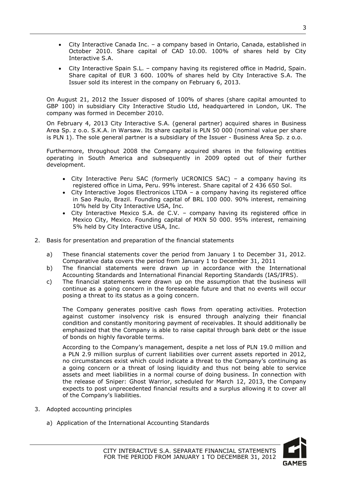- City Interactive Canada Inc. a company based in Ontario, Canada, established in October 2010. Share capital of CAD 10.00. 100% of shares held by City Interactive S.A.
- City Interactive Spain S.L. company having its registered office in Madrid, Spain. Share capital of EUR 3 600. 100% of shares held by City Interactive S.A. The Issuer sold its interest in the company on February 6, 2013.

On August 21, 2012 the Issuer disposed of 100% of shares (share capital amounted to GBP 100) in subsidiary City Interactive Studio Ltd, headquartered in London, UK. The company was formed in December 2010.

On February 4, 2013 City Interactive S.A. (general partner) acquired shares in Business Area Sp. z o.o. S.K.A. in Warsaw. Its share capital is PLN 50 000 (nominal value per share is PLN 1). The sole general partner is a subsidiary of the Issuer - Business Area Sp. z o.o.

Furthermore, throughout 2008 the Company acquired shares in the following entities operating in South America and subsequently in 2009 opted out of their further development.

- City Interactive Peru SAC (formerly UCRONICS SAC) a company having its registered office in Lima, Peru. 99% interest. Share capital of 2 436 650 Sol.
- City Interactive Jogos Electronicos LTDA a company having its registered office in Sao Paulo, Brazil. Founding capital of BRL 100 000. 90% interest, remaining 10% held by City Interactive USA, Inc.
- City Interactive Mexico S.A. de C.V. company having its registered office in Mexico City, Mexico. Founding capital of MXN 50 000. 95% interest, remaining 5% held by City Interactive USA, Inc.
- <span id="page-3-0"></span>2. Basis for presentation and preparation of the financial statements
	- a) These financial statements cover the period from January 1 to December 31, 2012. Comparative data covers the period from January 1 to December 31, 2011
	- b) The financial statements were drawn up in accordance with the International Accounting Standards and International Financial Reporting Standards (IAS/IFRS).
	- c) The financial statements were drawn up on the assumption that the business will continue as a going concern in the foreseeable future and that no events will occur posing a threat to its status as a going concern.

The Company generates positive cash flows from operating activities. Protection against customer insolvency risk is ensured through analyzing their financial condition and constantly monitoring payment of receivables. It should additionally be emphasized that the Company is able to raise capital through bank debt or the issue of bonds on highly favorable terms.

According to the Company's management, despite a net loss of PLN 19.0 million and a PLN 2.9 million surplus of current liabilities over current assets reported in 2012, no circumstances exist which could indicate a threat to the Company's continuing as a going concern or a threat of losing liquidity and thus not being able to service assets and meet liabilities in a normal course of doing business. In connection with the release of Sniper: Ghost Warrior, scheduled for March 12, 2013, the Company expects to post unprecedented financial results and a surplus allowing it to cover all of the Company's liabilities.

- <span id="page-3-1"></span>3. Adopted accounting principles
	- a) Application of the International Accounting Standards

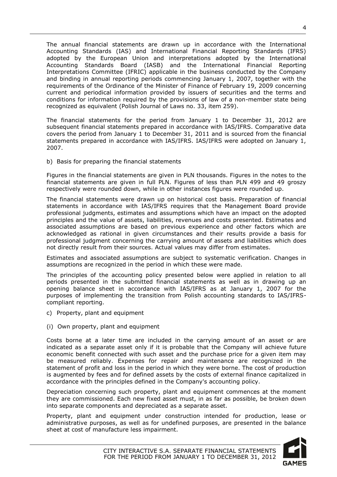The annual financial statements are drawn up in accordance with the International Accounting Standards (IAS) and International Financial Reporting Standards (IFRS) adopted by the European Union and interpretations adopted by the International Accounting Standards Board (IASB) and the International Financial Reporting Interpretations Committee (IFRIC) applicable in the business conducted by the Company and binding in annual reporting periods commencing January 1, 2007, together with the requirements of the Ordinance of the Minister of Finance of February 19, 2009 concerning current and periodical information provided by issuers of securities and the terms and conditions for information required by the provisions of law of a non-member state being recognized as equivalent (Polish Journal of Laws no. 33, item 259).

The financial statements for the period from January 1 to December 31, 2012 are subsequent financial statements prepared in accordance with IAS/IFRS. Comparative data covers the period from January 1 to December 31, 2011 and is sourced from the financial statements prepared in accordance with IAS/IFRS. IAS/IFRS were adopted on January 1, 2007.

b) Basis for preparing the financial statements

Figures in the financial statements are given in PLN thousands. Figures in the notes to the financial statements are given in full PLN. Figures of less than PLN 499 and 49 groszy respectively were rounded down, while in other instances figures were rounded up.

The financial statements were drawn up on historical cost basis. Preparation of financial statements in accordance with IAS/IFRS requires that the Management Board provide professional judgments, estimates and assumptions which have an impact on the adopted principles and the value of assets, liabilities, revenues and costs presented. Estimates and associated assumptions are based on previous experience and other factors which are acknowledged as rational in given circumstances and their results provide a basis for professional judgment concerning the carrying amount of assets and liabilities which does not directly result from their sources. Actual values may differ from estimates.

Estimates and associated assumptions are subject to systematic verification. Changes in assumptions are recognized in the period in which these were made.

The principles of the accounting policy presented below were applied in relation to all periods presented in the submitted financial statements as well as in drawing up an opening balance sheet in accordance with IAS/IFRS as at January 1, 2007 for the purposes of implementing the transition from Polish accounting standards to IAS/IFRScompliant reporting.

- c) Property, plant and equipment
- (i) Own property, plant and equipment

Costs borne at a later time are included in the carrying amount of an asset or are indicated as a separate asset only if it is probable that the Company will achieve future economic benefit connected with such asset and the purchase price for a given item may be measured reliably. Expenses for repair and maintenance are recognized in the statement of profit and loss in the period in which they were borne. The cost of production is augmented by fees and for defined assets by the costs of external finance capitalized in accordance with the principles defined in the Company's accounting policy.

Depreciation concerning such property, plant and equipment commences at the moment they are commissioned. Each new fixed asset must, in as far as possible, be broken down into separate components and depreciated as a separate asset.

Property, plant and equipment under construction intended for production, lease or administrative purposes, as well as for undefined purposes, are presented in the balance sheet at cost of manufacture less impairment.

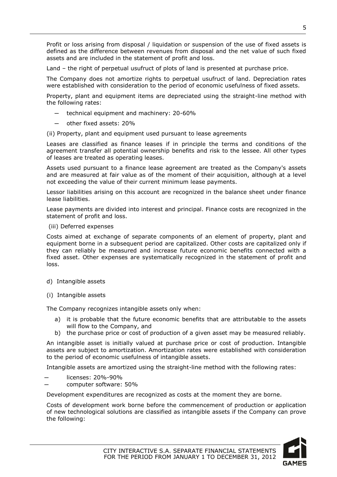Profit or loss arising from disposal / liquidation or suspension of the use of fixed assets is defined as the difference between revenues from disposal and the net value of such fixed assets and are included in the statement of profit and loss.

Land – the right of perpetual usufruct of plots of land is presented at purchase price.

The Company does not amortize rights to perpetual usufruct of land. Depreciation rates were established with consideration to the period of economic usefulness of fixed assets.

Property, plant and equipment items are depreciated using the straight-line method with the following rates:

- technical equipment and machinery: 20-60%
- other fixed assets: 20%

(ii) Property, plant and equipment used pursuant to lease agreements

Leases are classified as finance leases if in principle the terms and conditions of the agreement transfer all potential ownership benefits and risk to the lessee. All other types of leases are treated as operating leases.

Assets used pursuant to a finance lease agreement are treated as the Company's assets and are measured at fair value as of the moment of their acquisition, although at a level not exceeding the value of their current minimum lease payments.

Lessor liabilities arising on this account are recognized in the balance sheet under finance lease liabilities.

Lease payments are divided into interest and principal. Finance costs are recognized in the statement of profit and loss.

(iii) Deferred expenses

Costs aimed at exchange of separate components of an element of property, plant and equipment borne in a subsequent period are capitalized. Other costs are capitalized only if they can reliably be measured and increase future economic benefits connected with a fixed asset. Other expenses are systematically recognized in the statement of profit and loss.

- d) Intangible assets
- (i) Intangible assets

The Company recognizes intangible assets only when:

- a) it is probable that the future economic benefits that are attributable to the assets will flow to the Company, and
- b) the purchase price or cost of production of a given asset may be measured reliably.

An intangible asset is initially valued at purchase price or cost of production. Intangible assets are subject to amortization. Amortization rates were established with consideration to the period of economic usefulness of intangible assets.

Intangible assets are amortized using the straight-line method with the following rates:

- licenses: 20%-90%
- ─ computer software: 50%

Development expenditures are recognized as costs at the moment they are borne.

Costs of development work borne before the commencement of production or application of new technological solutions are classified as intangible assets if the Company can prove the following:

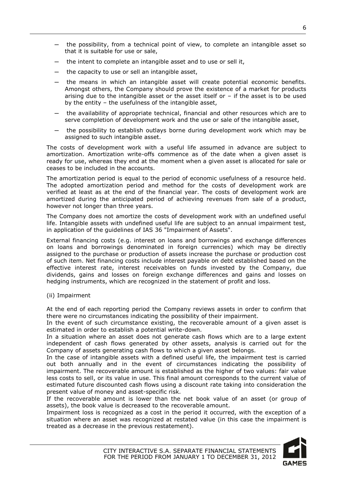- the possibility, from a technical point of view, to complete an intangible asset so that it is suitable for use or sale,
- the intent to complete an intangible asset and to use or sell it,
- the capacity to use or sell an intangible asset,
- the means in which an intangible asset will create potential economic benefits. Amongst others, the Company should prove the existence of a market for products arising due to the intangible asset or the asset itself or  $-$  if the asset is to be used by the entity – the usefulness of the intangible asset,
- ─ the availability of appropriate technical, financial and other resources which are to serve completion of development work and the use or sale of the intangible asset,
- the possibility to establish outlays borne during development work which may be assigned to such intangible asset.

The costs of development work with a useful life assumed in advance are subject to amortization. Amortization write-offs commence as of the date when a given asset is ready for use, whereas they end at the moment when a given asset is allocated for sale or ceases to be included in the accounts.

The amortization period is equal to the period of economic usefulness of a resource held. The adopted amortization period and method for the costs of development work are verified at least as at the end of the financial year. The costs of development work are amortized during the anticipated period of achieving revenues from sale of a product, however not longer than three years.

The Company does not amortize the costs of development work with an undefined useful life. Intangible assets with undefined useful life are subject to an annual impairment test, in application of the guidelines of IAS 36 "Impairment of Assets".

External financing costs (e.g. interest on loans and borrowings and exchange differences on loans and borrowings denominated in foreign currencies) which may be directly assigned to the purchase or production of assets increase the purchase or production cost of such item. Net financing costs include interest payable on debt established based on the effective interest rate, interest receivables on funds invested by the Company, due dividends, gains and losses on foreign exchange differences and gains and losses on hedging instruments, which are recognized in the statement of profit and loss.

(ii) Impairment

At the end of each reporting period the Company reviews assets in order to confirm that there were no circumstances indicating the possibility of their impairment.

In the event of such circumstance existing, the recoverable amount of a given asset is estimated in order to establish a potential write-down.

In a situation where an asset does not generate cash flows which are to a large extent independent of cash flows generated by other assets, analysis is carried out for the Company of assets generating cash flows to which a given asset belongs.

In the case of intangible assets with a defined useful life, the impairment test is carried out both annually and in the event of circumstances indicating the possibility of impairment. The recoverable amount is established as the higher of two values: fair value less costs to sell, or its value in use. This final amount corresponds to the current value of estimated future discounted cash flows using a discount rate taking into consideration the present value of money and asset-specific risk.

If the recoverable amount is lower than the net book value of an asset (or group of assets), the book value is decreased to the recoverable amount.

Impairment loss is recognized as a cost in the period it occurred, with the exception of a situation where an asset was recognized at restated value (in this case the impairment is treated as a decrease in the previous restatement).



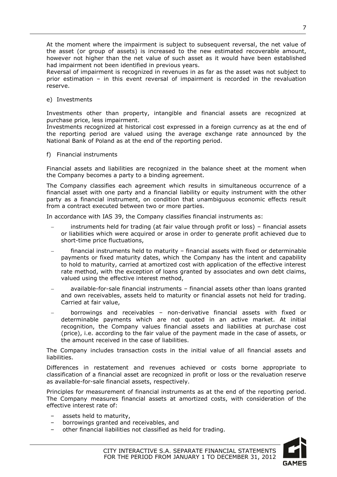At the moment where the impairment is subject to subsequent reversal, the net value of the asset (or group of assets) is increased to the new estimated recoverable amount, however not higher than the net value of such asset as it would have been established had impairment not been identified in previous years.

Reversal of impairment is recognized in revenues in as far as the asset was not subject to prior estimation – in this event reversal of impairment is recorded in the revaluation reserve.

e) Investments

Investments other than property, intangible and financial assets are recognized at purchase price, less impairment.

Investments recognized at historical cost expressed in a foreign currency as at the end of the reporting period are valued using the average exchange rate announced by the National Bank of Poland as at the end of the reporting period.

f) Financial instruments

Financial assets and liabilities are recognized in the balance sheet at the moment when the Company becomes a party to a binding agreement.

The Company classifies each agreement which results in simultaneous occurrence of a financial asset with one party and a financial liability or equity instrument with the other party as a financial instrument, on condition that unambiguous economic effects result from a contract executed between two or more parties.

In accordance with IAS 39, the Company classifies financial instruments as:

- instruments held for trading (at fair value through profit or loss) financial assets or liabilities which were acquired or arose in order to generate profit achieved due to short-time price fluctuations,
- financial instruments held to maturity financial assets with fixed or determinable payments or fixed maturity dates, which the Company has the intent and capability to hold to maturity, carried at amortized cost with application of the effective interest rate method, with the exception of loans granted by associates and own debt claims, valued using the effective interest method,
- available-for-sale financial instruments financial assets other than loans granted and own receivables, assets held to maturity or financial assets not held for trading. Carried at fair value,
- borrowings and receivables non-derivative financial assets with fixed or determinable payments which are not quoted in an active market. At initial recognition, the Company values financial assets and liabilities at purchase cost (price), i.e. according to the fair value of the payment made in the case of assets, or the amount received in the case of liabilities.

The Company includes transaction costs in the initial value of all financial assets and liabilities.

Differences in restatement and revenues achieved or costs borne appropriate to classification of a financial asset are recognized in profit or loss or the revaluation reserve as available-for-sale financial assets, respectively.

Principles for measurement of financial instruments as at the end of the reporting period. The Company measures financial assets at amortized costs, with consideration of the effective interest rate of:

- assets held to maturity,
- borrowings granted and receivables, and
- other financial liabilities not classified as held for trading.

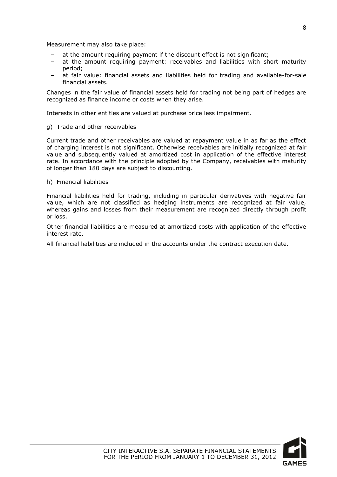Measurement may also take place:

- at the amount requiring payment if the discount effect is not significant;
- at the amount requiring payment: receivables and liabilities with short maturity period;
- at fair value: financial assets and liabilities held for trading and available-for-sale financial assets.

Changes in the fair value of financial assets held for trading not being part of hedges are recognized as finance income or costs when they arise.

Interests in other entities are valued at purchase price less impairment.

g) Trade and other receivables

Current trade and other receivables are valued at repayment value in as far as the effect of charging interest is not significant. Otherwise receivables are initially recognized at fair value and subsequently valued at amortized cost in application of the effective interest rate. In accordance with the principle adopted by the Company, receivables with maturity of longer than 180 days are subject to discounting.

h) Financial liabilities

Financial liabilities held for trading, including in particular derivatives with negative fair value, which are not classified as hedging instruments are recognized at fair value, whereas gains and losses from their measurement are recognized directly through profit or loss.

Other financial liabilities are measured at amortized costs with application of the effective interest rate.

All financial liabilities are included in the accounts under the contract execution date.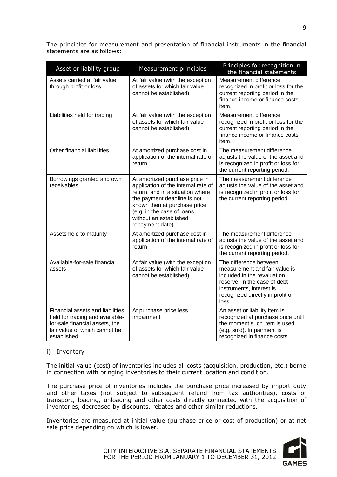| Asset or liability group                                                                                                                               | Measurement principles                                                                                                                                                                                                                              | Principles for recognition in<br>the financial statements                                                                                                                                       |
|--------------------------------------------------------------------------------------------------------------------------------------------------------|-----------------------------------------------------------------------------------------------------------------------------------------------------------------------------------------------------------------------------------------------------|-------------------------------------------------------------------------------------------------------------------------------------------------------------------------------------------------|
| Assets carried at fair value<br>through profit or loss                                                                                                 | At fair value (with the exception<br>of assets for which fair value<br>cannot be established)                                                                                                                                                       | Measurement difference<br>recognized in profit or loss for the<br>current reporting period in the<br>finance income or finance costs<br>item.                                                   |
| Liabilities held for trading                                                                                                                           | At fair value (with the exception<br>of assets for which fair value<br>cannot be established)                                                                                                                                                       | Measurement difference<br>recognized in profit or loss for the<br>current reporting period in the<br>finance income or finance costs<br>item.                                                   |
| Other financial liabilities                                                                                                                            | At amortized purchase cost in<br>application of the internal rate of<br>return                                                                                                                                                                      | The measurement difference<br>adjusts the value of the asset and<br>is recognized in profit or loss for<br>the current reporting period.                                                        |
| Borrowings granted and own<br>receivables                                                                                                              | At amortized purchase price in<br>application of the internal rate of<br>return, and in a situation where<br>the payment deadline is not<br>known then at purchase price<br>(e.g. in the case of loans<br>without an established<br>repayment date) | The measurement difference<br>adjusts the value of the asset and<br>is recognized in profit or loss for<br>the current reporting period.                                                        |
| Assets held to maturity                                                                                                                                | At amortized purchase cost in<br>application of the internal rate of<br>return                                                                                                                                                                      | The measurement difference<br>adjusts the value of the asset and<br>is recognized in profit or loss for<br>the current reporting period.                                                        |
| Available-for-sale financial<br>assets                                                                                                                 | At fair value (with the exception<br>of assets for which fair value<br>cannot be established)                                                                                                                                                       | The difference between<br>measurement and fair value is<br>included in the revaluation<br>reserve. In the case of debt<br>instruments, interest is<br>recognized directly in profit or<br>loss. |
| Financial assets and liabilities<br>held for trading and available-<br>for-sale financial assets, the<br>fair value of which cannot be<br>established. | At purchase price less<br>impairment.                                                                                                                                                                                                               | An asset or liability item is<br>recognized at purchase price until<br>the moment such item is used<br>(e.g. sold). Impairment is<br>recognized in finance costs.                               |

The principles for measurement and presentation of financial instruments in the financial statements are as follows:

#### i) Inventory

The initial value (cost) of inventories includes all costs (acquisition, production, etc.) borne in connection with bringing inventories to their current location and condition.

The purchase price of inventories includes the purchase price increased by import duty and other taxes (not subject to subsequent refund from tax authorities), costs of transport, loading, unloading and other costs directly connected with the acquisition of inventories, decreased by discounts, rebates and other similar reductions.

Inventories are measured at initial value (purchase price or cost of production) or at net sale price depending on which is lower.



| CITY INTERACTIVE S.A. SEPARATE FINANCIAL STATEMENTS |  |
|-----------------------------------------------------|--|
| FOR THE PERIOD FROM JANUARY 1 TO DECEMBER 31, 2012  |  |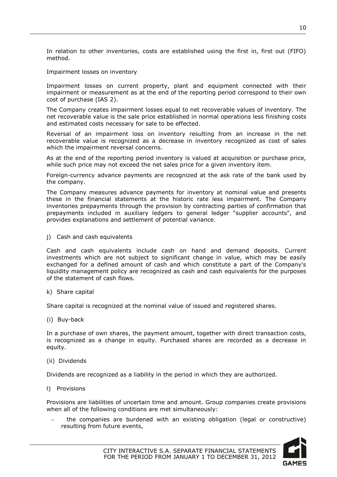In relation to other inventories, costs are established using the first in, first out (FIFO) method.

#### Impairment losses on inventory

Impairment losses on current property, plant and equipment connected with their impairment or measurement as at the end of the reporting period correspond to their own cost of purchase (IAS 2).

The Company creates impairment losses equal to net recoverable values of inventory. The net recoverable value is the sale price established in normal operations less finishing costs and estimated costs necessary for sale to be effected.

Reversal of an impairment loss on inventory resulting from an increase in the net recoverable value is recognized as a decrease in inventory recognized as cost of sales which the impairment reversal concerns.

As at the end of the reporting period inventory is valued at acquisition or purchase price, while such price may not exceed the net sales price for a given inventory item.

Foreign-currency advance payments are recognized at the ask rate of the bank used by the company.

The Company measures advance payments for inventory at nominal value and presents these in the financial statements at the historic rate less impairment. The Company inventories prepayments through the provision by contracting parties of confirmation that prepayments included in auxiliary ledgers to general ledger "supplier accounts", and provides explanations and settlement of potential variance.

j) Cash and cash equivalents

Cash and cash equivalents include cash on hand and demand deposits. Current investments which are not subject to significant change in value, which may be easily exchanged for a defined amount of cash and which constitute a part of the Company's liquidity management policy are recognized as cash and cash equivalents for the purposes of the statement of cash flows.

k) Share capital

Share capital is recognized at the nominal value of issued and registered shares.

(i) Buy-back

In a purchase of own shares, the payment amount, together with direct transaction costs, is recognized as a change in equity. Purchased shares are recorded as a decrease in equity.

(ii) Dividends

Dividends are recognized as a liability in the period in which they are authorized.

l) Provisions

Provisions are liabilities of uncertain time and amount. Group companies create provisions when all of the following conditions are met simultaneously:

 the companies are burdened with an existing obligation (legal or constructive) resulting from future events,

10

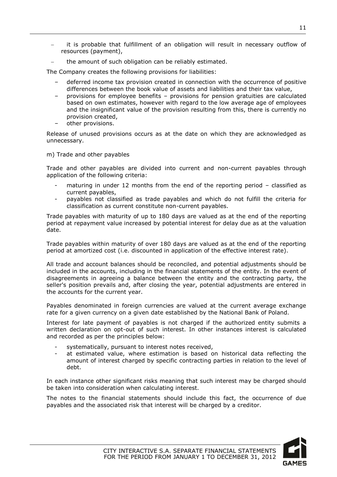it is probable that fulfillment of an obligation will result in necessary outflow of resources (payment),

the amount of such obligation can be reliably estimated.

The Company creates the following provisions for liabilities:

- deferred income tax provision created in connection with the occurrence of positive differences between the book value of assets and liabilities and their tax value,
- provisions for employee benefits provisions for pension gratuities are calculated based on own estimates, however with regard to the low average age of employees and the insignificant value of the provision resulting from this, there is currently no provision created,
- other provisions.

Release of unused provisions occurs as at the date on which they are acknowledged as unnecessary.

m) Trade and other payables

Trade and other payables are divided into current and non-current payables through application of the following criteria:

- maturing in under 12 months from the end of the reporting period  $-$  classified as current payables,
- payables not classified as trade payables and which do not fulfill the criteria for classification as current constitute non-current payables.

Trade payables with maturity of up to 180 days are valued as at the end of the reporting period at repayment value increased by potential interest for delay due as at the valuation date.

Trade payables within maturity of over 180 days are valued as at the end of the reporting period at amortized cost (i.e. discounted in application of the effective interest rate).

All trade and account balances should be reconciled, and potential adjustments should be included in the accounts, including in the financial statements of the entity. In the event of disagreements in agreeing a balance between the entity and the contracting party, the seller's position prevails and, after closing the year, potential adjustments are entered in the accounts for the current year.

Payables denominated in foreign currencies are valued at the current average exchange rate for a given currency on a given date established by the National Bank of Poland.

Interest for late payment of payables is not charged if the authorized entity submits a written declaration on opt-out of such interest. In other instances interest is calculated and recorded as per the principles below:

- systematically, pursuant to interest notes received,
- at estimated value, where estimation is based on historical data reflecting the amount of interest charged by specific contracting parties in relation to the level of debt.

In each instance other significant risks meaning that such interest may be charged should be taken into consideration when calculating interest.

The notes to the financial statements should include this fact, the occurrence of due payables and the associated risk that interest will be charged by a creditor.

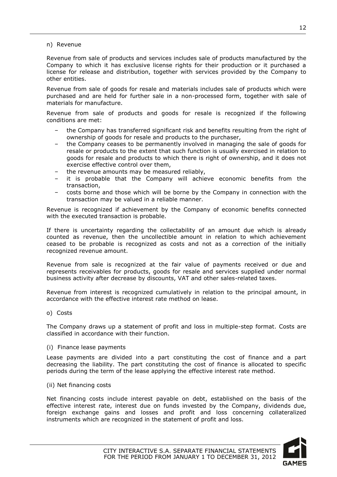#### n) Revenue

Revenue from sale of products and services includes sale of products manufactured by the Company to which it has exclusive license rights for their production or it purchased a license for release and distribution, together with services provided by the Company to other entities.

Revenue from sale of goods for resale and materials includes sale of products which were purchased and are held for further sale in a non-processed form, together with sale of materials for manufacture.

Revenue from sale of products and goods for resale is recognized if the following conditions are met:

- the Company has transferred significant risk and benefits resulting from the right of ownership of goods for resale and products to the purchaser,
- the Company ceases to be permanently involved in managing the sale of goods for resale or products to the extent that such function is usually exercised in relation to goods for resale and products to which there is right of ownership, and it does not exercise effective control over them,
- the revenue amounts may be measured reliably,
- it is probable that the Company will achieve economic benefits from the transaction,
- costs borne and those which will be borne by the Company in connection with the transaction may be valued in a reliable manner.

Revenue is recognized if achievement by the Company of economic benefits connected with the executed transaction is probable.

If there is uncertainty regarding the collectability of an amount due which is already counted as revenue, then the uncollectible amount in relation to which achievement ceased to be probable is recognized as costs and not as a correction of the initially recognized revenue amount.

Revenue from sale is recognized at the fair value of payments received or due and represents receivables for products, goods for resale and services supplied under normal business activity after decrease by discounts, VAT and other sales-related taxes.

Revenue from interest is recognized cumulatively in relation to the principal amount, in accordance with the effective interest rate method on lease.

#### o) Costs

The Company draws up a statement of profit and loss in multiple-step format. Costs are classified in accordance with their function.

#### (i) Finance lease payments

Lease payments are divided into a part constituting the cost of finance and a part decreasing the liability. The part constituting the cost of finance is allocated to specific periods during the term of the lease applying the effective interest rate method.

#### (ii) Net financing costs

Net financing costs include interest payable on debt, established on the basis of the effective interest rate, interest due on funds invested by the Company, dividends due, foreign exchange gains and losses and profit and loss concerning collateralized instruments which are recognized in the statement of profit and loss.

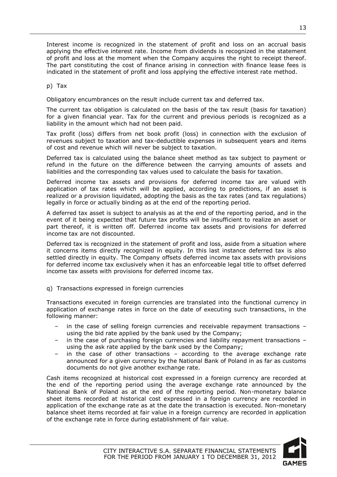Interest income is recognized in the statement of profit and loss on an accrual basis applying the effective interest rate. Income from dividends is recognized in the statement of profit and loss at the moment when the Company acquires the right to receipt thereof. The part constituting the cost of finance arising in connection with finance lease fees is indicated in the statement of profit and loss applying the effective interest rate method.

p) Tax

Obligatory encumbrances on the result include current tax and deferred tax.

The current tax obligation is calculated on the basis of the tax result (basis for taxation) for a given financial year. Tax for the current and previous periods is recognized as a liability in the amount which had not been paid.

Tax profit (loss) differs from net book profit (loss) in connection with the exclusion of revenues subject to taxation and tax-deductible expenses in subsequent years and items of cost and revenue which will never be subject to taxation.

Deferred tax is calculated using the balance sheet method as tax subject to payment or refund in the future on the difference between the carrying amounts of assets and liabilities and the corresponding tax values used to calculate the basis for taxation.

Deferred income tax assets and provisions for deferred income tax are valued with application of tax rates which will be applied, according to predictions, if an asset is realized or a provision liquidated, adopting the basis as the tax rates (and tax regulations) legally in force or actually binding as at the end of the reporting period.

A deferred tax asset is subject to analysis as at the end of the reporting period, and in the event of it being expected that future tax profits will be insufficient to realize an asset or part thereof, it is written off. Deferred income tax assets and provisions for deferred income tax are not discounted.

Deferred tax is recognized in the statement of profit and loss, aside from a situation where it concerns items directly recognized in equity. In this last instance deferred tax is also settled directly in equity. The Company offsets deferred income tax assets with provisions for deferred income tax exclusively when it has an enforceable legal title to offset deferred income tax assets with provisions for deferred income tax.

q) Transactions expressed in foreign currencies

Transactions executed in foreign currencies are translated into the functional currency in application of exchange rates in force on the date of executing such transactions, in the following manner:

- in the case of selling foreign currencies and receivable repayment transactions using the bid rate applied by the bank used by the Company;
- in the case of purchasing foreign currencies and liability repayment transactions  $$ using the ask rate applied by the bank used by the Company;
- in the case of other transactions  $-$  according to the average exchange rate announced for a given currency by the National Bank of Poland in as far as customs documents do not give another exchange rate.

Cash items recognized at historical cost expressed in a foreign currency are recorded at the end of the reporting period using the average exchange rate announced by the National Bank of Poland as at the end of the reporting period. Non-monetary balance sheet items recorded at historical cost expressed in a foreign currency are recorded in application of the exchange rate as at the date the transaction is executed. Non-monetary balance sheet items recorded at fair value in a foreign currency are recorded in application of the exchange rate in force during establishment of fair value.

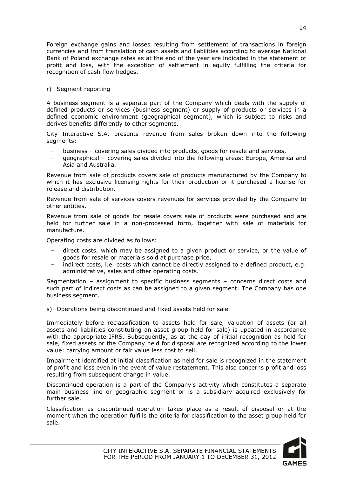Foreign exchange gains and losses resulting from settlement of transactions in foreign currencies and from translation of cash assets and liabilities according to average National Bank of Poland exchange rates as at the end of the year are indicated in the statement of profit and loss, with the exception of settlement in equity fulfilling the criteria for recognition of cash flow hedges.

#### r) Segment reporting

A business segment is a separate part of the Company which deals with the supply of defined products or services (business segment) or supply of products or services in a defined economic environment (geographical segment), which is subject to risks and derives benefits differently to other segments.

City Interactive S.A. presents revenue from sales broken down into the following segments:

- business covering sales divided into products, goods for resale and services,
- geographical covering sales divided into the following areas: Europe, America and Asia and Australia.

Revenue from sale of products covers sale of products manufactured by the Company to which it has exclusive licensing rights for their production or it purchased a license for release and distribution.

Revenue from sale of services covers revenues for services provided by the Company to other entities.

Revenue from sale of goods for resale covers sale of products were purchased and are held for further sale in a non-processed form, together with sale of materials for manufacture.

Operating costs are divided as follows:

- direct costs, which may be assigned to a given product or service, or the value of goods for resale or materials sold at purchase price,
- indirect costs, i.e. costs which cannot be directly assigned to a defined product, e.g. administrative, sales and other operating costs.

Segmentation – assignment to specific business segments – concerns direct costs and such part of indirect costs as can be assigned to a given segment. The Company has one business segment.

s) Operations being discontinued and fixed assets held for sale

Immediately before reclassification to assets held for sale, valuation of assets (or all assets and liabilities constituting an asset group held for sale) is updated in accordance with the appropriate IFRS. Subsequently, as at the day of initial recognition as held for sale, fixed assets or the Company held for disposal are recognized according to the lower value: carrying amount or fair value less cost to sell.

Impairment identified at initial classification as held for sale is recognized in the statement of profit and loss even in the event of value restatement. This also concerns profit and loss resulting from subsequent change in value.

Discontinued operation is a part of the Company's activity which constitutes a separate main business line or geographic segment or is a subsidiary acquired exclusively for further sale.

Classification as discontinued operation takes place as a result of disposal or at the moment when the operation fulfills the criteria for classification to the asset group held for sale.

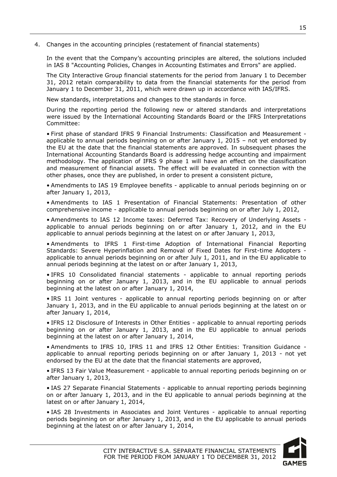<span id="page-15-0"></span>4. Changes in the accounting principles (restatement of financial statements)

In the event that the Company's accounting principles are altered, the solutions included in IAS 8 "Accounting Policies, Changes in Accounting Estimates and Errors" are applied.

The City Interactive Group financial statements for the period from January 1 to December 31, 2012 retain comparability to data from the financial statements for the period from January 1 to December 31, 2011, which were drawn up in accordance with IAS/IFRS.

New standards, interpretations and changes to the standards in force.

During the reporting period the following new or altered standards and interpretations were issued by the International Accounting Standards Board or the IFRS Interpretations Committee:

• First phase of standard IFRS 9 Financial Instruments: Classification and Measurement applicable to annual periods beginning on or after January 1, 2015 – not yet endorsed by the EU at the date that the financial statements are approved. In subsequent phases the International Accounting Standards Board is addressing hedge accounting and impairment methodology. The application of IFRS 9 phase 1 will have an effect on the classification and measurement of financial assets. The effect will be evaluated in connection with the other phases, once they are published, in order to present a consistent picture,

• Amendments to IAS 19 Employee benefits - applicable to annual periods beginning on or after January 1, 2013,

• Amendments to IAS 1 Presentation of Financial Statements: Presentation of other comprehensive income - applicable to annual periods beginning on or after July 1, 2012,

• Amendments to IAS 12 Income taxes: Deferred Tax: Recovery of Underlying Assets applicable to annual periods beginning on or after January 1, 2012, and in the EU applicable to annual periods beginning at the latest on or after January 1, 2013,

• Amendments to IFRS 1 First-time Adoption of International Financial Reporting Standards: Severe Hyperinflation and Removal of Fixed Dates for First-time Adopters applicable to annual periods beginning on or after July 1, 2011, and in the EU applicable to annual periods beginning at the latest on or after January 1, 2013,

• IFRS 10 Consolidated financial statements - applicable to annual reporting periods beginning on or after January 1, 2013, and in the EU applicable to annual periods beginning at the latest on or after January 1, 2014,

• IRS 11 Joint ventures - applicable to annual reporting periods beginning on or after January 1, 2013, and in the EU applicable to annual periods beginning at the latest on or after January 1, 2014,

• IFRS 12 Disclosure of Interests in Other Entities - applicable to annual reporting periods beginning on or after January 1, 2013, and in the EU applicable to annual periods beginning at the latest on or after January 1, 2014,

• Amendments to IFRS 10, IFRS 11 and IFRS 12 Other Entities: Transition Guidance applicable to annual reporting periods beginning on or after January 1, 2013 - not yet endorsed by the EU at the date that the financial statements are approved,

• IFRS 13 Fair Value Measurement - applicable to annual reporting periods beginning on or after January 1, 2013,

• IAS 27 Separate Financial Statements - applicable to annual reporting periods beginning on or after January 1, 2013, and in the EU applicable to annual periods beginning at the latest on or after January 1, 2014,

• IAS 28 Investments in Associates and Joint Ventures - applicable to annual reporting periods beginning on or after January 1, 2013, and in the EU applicable to annual periods beginning at the latest on or after January 1, 2014,

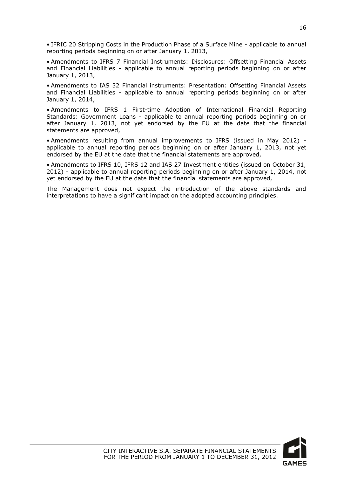• IFRIC 20 Stripping Costs in the Production Phase of a Surface Mine - applicable to annual reporting periods beginning on or after January 1, 2013,

• Amendments to IFRS 7 Financial Instruments: Disclosures: Offsetting Financial Assets and Financial Liabilities - applicable to annual reporting periods beginning on or after January 1, 2013,

• Amendments to IAS 32 Financial instruments: Presentation: Offsetting Financial Assets and Financial Liabilities - applicable to annual reporting periods beginning on or after January 1, 2014,

• Amendments to IFRS 1 First-time Adoption of International Financial Reporting Standards: Government Loans - applicable to annual reporting periods beginning on or after January 1, 2013, not yet endorsed by the EU at the date that the financial statements are approved,

• Amendments resulting from annual improvements to IFRS (issued in May 2012) applicable to annual reporting periods beginning on or after January 1, 2013, not yet endorsed by the EU at the date that the financial statements are approved,

• Amendments to IFRS 10, IFRS 12 and IAS 27 Investment entities (issued on October 31, 2012) - applicable to annual reporting periods beginning on or after January 1, 2014, not yet endorsed by the EU at the date that the financial statements are approved,

The Management does not expect the introduction of the above standards and interpretations to have a significant impact on the adopted accounting principles.

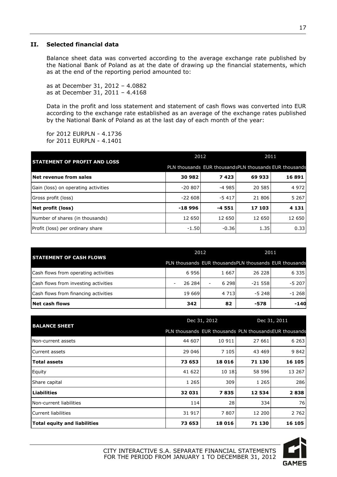#### <span id="page-17-0"></span>**II. Selected financial data**

Balance sheet data was converted according to the average exchange rate published by the National Bank of Poland as at the date of drawing up the financial statements, which as at the end of the reporting period amounted to:

as at December 31, 2012 – 4.0882 as at December 31, 2011 – 4.4168

Data in the profit and loss statement and statement of cash flows was converted into EUR according to the exchange rate established as an average of the exchange rates published by the National Bank of Poland as at the last day of each month of the year:

for 2012 EURPLN - 4.1736 for 2011 EURPLN - 4.1401

| <b>STATEMENT OF PROFIT AND LOSS</b> | 2012      |         | 2011                                                    |         |  |
|-------------------------------------|-----------|---------|---------------------------------------------------------|---------|--|
|                                     |           |         | PLN thousands EUR thousand SPLN thousands EUR thousands |         |  |
| Net revenue from sales              | 30 982    | 7423    | 69 933                                                  | 16891   |  |
| Gain (loss) on operating activities | $-20.807$ | $-4985$ | 20 585                                                  | 4 9 7 2 |  |
| Gross profit (loss)                 | $-22608$  | $-5417$ | 21 806                                                  | 5 2 6 7 |  |
| Net profit (loss)                   | $-18996$  | $-4551$ | 17 103                                                  | 4 1 3 1 |  |
| Number of shares (in thousands)     | 12 650    | 12 650  | 12 650                                                  | 12 650  |  |
| Profit (loss) per ordinary share    | $-1.50$   | $-0.36$ | 1.35                                                    | 0.33    |  |

| <b>STATEMENT OF CASH FLOWS</b>       | 2012                                                    |           | 2011     |         |  |
|--------------------------------------|---------------------------------------------------------|-----------|----------|---------|--|
|                                      | PLN thousands EUR thousands PLN thousands EUR thousands |           |          |         |  |
| Cash flows from operating activities | 6956                                                    | 1667      | 26 228   | 6 3 3 5 |  |
| Cash flows from investing activities | 26 284                                                  | 6 2 9 8 1 | $-21558$ | $-5207$ |  |
| Cash flows from financing activities | 19 6 69                                                 | 4 7 1 3   | -5 2481  | $-1268$ |  |
| Net cash flows                       | 342                                                     | 82        | $-578$   | $-140$  |  |

| <b>BALANCE SHEET</b>                |                                                        | Dec 31, 2012 | Dec 31, 2011 |         |
|-------------------------------------|--------------------------------------------------------|--------------|--------------|---------|
|                                     | PLN thousands EUR thousands PLN thousandsEUR thousands |              |              |         |
| Non-current assets                  | 44 607                                                 | 10 911       | 27 661       | 6 2 6 3 |
| lCurrent assets                     | 29 046                                                 | 7 1 0 5      | 43 469       | 9842    |
| <b>Total assets</b>                 | 73 653                                                 | 18 016       | 71 130       | 16 105  |
| Equity                              | 41 622                                                 | 10 181       | 58 596       | 13 267  |
| Share capital                       | 1 2 6 5                                                | 309          | 1 2 6 5      | 286     |
| <b>Liabilities</b>                  | 32 031                                                 | 7835         | 12 534       | 2838    |
| INon-current liabilities            | 114                                                    | 28           | 334          | 76      |
| lCurrent liabilities                | 31 917                                                 | 7807         | 12 200       | 2 7 6 2 |
| <b>Total equity and liabilities</b> | 73 653                                                 | 18 016       | 71 130       | 16 105  |

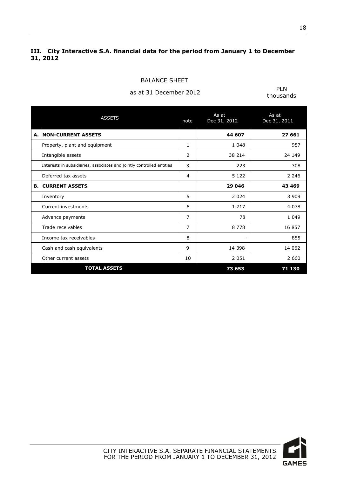### <span id="page-18-0"></span>**III. City Interactive S.A. financial data for the period from January 1 to December 31, 2012**

as at 31 December 2012 PLN

| <b>ASSETS</b>                                                         | note           | As at<br>Dec 31, 2012    | As at<br>Dec 31, 2011 |
|-----------------------------------------------------------------------|----------------|--------------------------|-----------------------|
| A. INON-CURRENT ASSETS                                                |                | 44 607                   | 27 661                |
| Property, plant and equipment                                         | 1              | 1 0 4 8                  | 957                   |
| Intangible assets                                                     | $\mathcal{P}$  | 38 214                   | 24 149                |
| Interests in subsidiaries, associates and jointly controlled entities | 3              | 223                      | 308                   |
| Deferred tax assets                                                   | 4              | 5 1 2 2                  | 2 2 4 6               |
| <b>B. CURRENT ASSETS</b>                                              |                | 29 046                   | 43 469                |
| Inventory                                                             | 5              | 2 0 2 4                  | 3 9 0 9               |
| Current investments                                                   | 6              | 1 7 1 7                  | 4 0 7 8               |
| Advance payments                                                      | $\overline{7}$ | 78                       | 1 0 4 9               |
| Trade receivables                                                     | $\overline{7}$ | 8 7 7 8                  | 16 857                |
| Income tax receivables                                                | 8              | $\overline{\phantom{0}}$ | 855                   |
| Cash and cash equivalents                                             | 9              | 14 398                   | 14 062                |
| Other current assets                                                  | 10             | 2 0 5 1                  | 2 6 6 0               |
| <b>TOTAL ASSETS</b>                                                   |                | 73 653                   | 71 130                |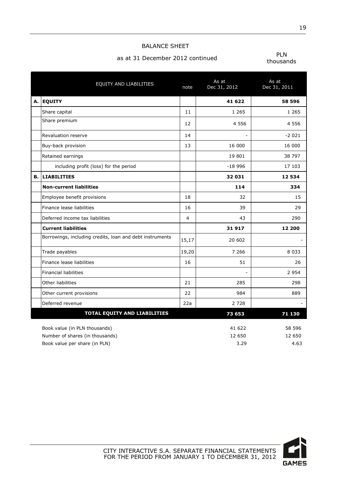#### BALANCE SHEET

## as at 31 December 2012 continued **PLN**

|    | EQUITY AND LIABILITIES                                                                            | note           | As at<br>Dec 31, 2012    | As at<br>Dec 31, 2011    |
|----|---------------------------------------------------------------------------------------------------|----------------|--------------------------|--------------------------|
| А. | <b>EQUITY</b>                                                                                     |                | 41 622                   | 58 596                   |
|    | Share capital                                                                                     | 11             | 1 2 6 5                  | 1 2 6 5                  |
|    | Share premium                                                                                     | 12             | 4 5 5 6                  | 4 5 5 6                  |
|    | Revaluation reserve                                                                               | 14             | ÷                        | $-2021$                  |
|    | Buy-back provision                                                                                | 13             | 16 000                   | 16 000                   |
|    | Retained earnings                                                                                 |                | 19 801                   | 38 797                   |
|    | including profit (loss) for the period                                                            |                | $-18996$                 | 17 103                   |
| в. | <b>LIABILITIES</b>                                                                                |                | 32 031                   | 12 534                   |
|    | <b>Non-current liabilities</b>                                                                    |                | 114                      | 334                      |
|    | Employee benefit provisions                                                                       | 18             | 32                       | 15                       |
|    | Finance lease liabilities                                                                         | 16             | 39                       | 29                       |
|    | Deferred income tax liabilities                                                                   | $\overline{4}$ | 43                       | 290                      |
|    | <b>Current liabilities</b>                                                                        |                | 31917                    | 12 200                   |
|    | Borrowings, including credits, loan and debt instruments                                          | 15,17          | 20 602                   |                          |
|    | Trade payables                                                                                    | 19,20          | 7 2 6 6                  | 8 0 3 3                  |
|    | Finance lease liabilities                                                                         | 16             | 51                       | 26                       |
|    | <b>Financial liabilities</b>                                                                      |                | $\overline{a}$           | 2 9 5 4                  |
|    | Other liabilities                                                                                 | 21             | 285                      | 298                      |
|    | Other current provisions                                                                          | 22             | 984                      | 889                      |
|    | Deferred revenue                                                                                  | 22a            | 2 7 2 8                  |                          |
|    | TOTAL EQUITY AND LIABILITIES                                                                      |                | 73 653                   | 71 130                   |
|    | Book value (in PLN thousands)<br>Number of shares (in thousands)<br>Book value per share (in PLN) |                | 41 622<br>12 650<br>3.29 | 58 596<br>12 650<br>4.63 |

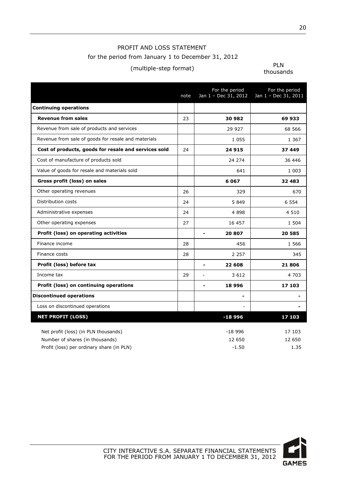### PROFIT AND LOSS STATEMENT for the period from January 1 to December 31, 2012

## (multiple-step format) PLN

|                                                      | note | For the period<br>Jan 1 - Dec 31, 2012 | For the period<br>Jan 1 - Dec 31, 2011 |
|------------------------------------------------------|------|----------------------------------------|----------------------------------------|
| <b>Continuing operations</b>                         |      |                                        |                                        |
| <b>Revenue from sales</b>                            | 23   | 30 982                                 | 69 933                                 |
| Revenue from sale of products and services           |      | 29 9 27                                | 68 566                                 |
| Revenue from sale of goods for resale and materials  |      | 1 0 5 5                                | 1 3 6 7                                |
| Cost of products, goods for resale and services sold | 24   | 24 915                                 | 37 449                                 |
| Cost of manufacture of products sold                 |      | 24 274                                 | 36 446                                 |
| Value of goods for resale and materials sold         |      | 641                                    | 1 0 0 3                                |
| Gross profit (loss) on sales                         |      | 6067                                   | 32 483                                 |
| Other operating revenues                             | 26   | 329                                    | 670                                    |
| Distribution costs                                   | 24   | 5 8 4 9                                | 6 5 5 4                                |
| Administrative expenses                              | 24   | 4 8 9 8                                | 4 5 1 0                                |
| Other operating expenses                             | 27   | 16 457                                 | 1 504                                  |
| Profit (loss) on operating activities                |      | 20 807                                 | 20 585                                 |
| Finance income                                       | 28   | 456                                    | 1 5 6 6                                |
| Finance costs                                        | 28   | 2 2 5 7                                | 345                                    |
| Profit (loss) before tax                             |      | 22 608<br>$\blacksquare$               | 21806                                  |
| Income tax                                           | 29   | 3 6 1 2                                | 4 703                                  |
| Profit (loss) on continuing operations               |      | 18996<br>$\overline{a}$                | 17 103                                 |
| <b>Discontinued operations</b>                       |      |                                        |                                        |
| Loss on discontinued operations                      |      |                                        |                                        |
| <b>NET PROFIT (LOSS)</b>                             |      | $-18996$                               | 17 103                                 |
| Net profit (loss) (in PLN thousands)                 |      | $-18996$                               | 17 103                                 |
| Number of shares (in thousands)                      |      | 12 650                                 | 12 650                                 |
| Profit (loss) per ordinary share (in PLN)            |      | $-1.50$                                | 1.35                                   |

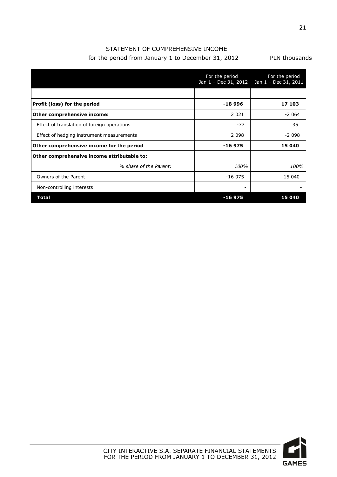### STATEMENT OF COMPREHENSIVE INCOME for the period from January 1 to December 31, 2012 PLN thousands

|                                             | For the period<br>Jan 1 - Dec 31, 2012 | For the period<br>Jan 1 - Dec 31, 2011 |
|---------------------------------------------|----------------------------------------|----------------------------------------|
|                                             |                                        |                                        |
| Profit (loss) for the period                | $-18996$                               | 17 103                                 |
| Other comprehensive income:                 | 2 0 2 1                                | $-2064$                                |
| Effect of translation of foreign operations | $-77$                                  | 35                                     |
| Effect of hedging instrument measurements   | 2 0 9 8                                | $-2098$                                |
| Other comprehensive income for the period   | $-16975$                               | 15 040                                 |
| Other comprehensive income attributable to: |                                        |                                        |
| % share of the Parent:                      | 100%                                   | 100%                                   |
| Owners of the Parent                        | $-16975$                               | 15 040                                 |
| Non-controlling interests                   |                                        |                                        |
| Total                                       | $-16975$                               | 15 040                                 |

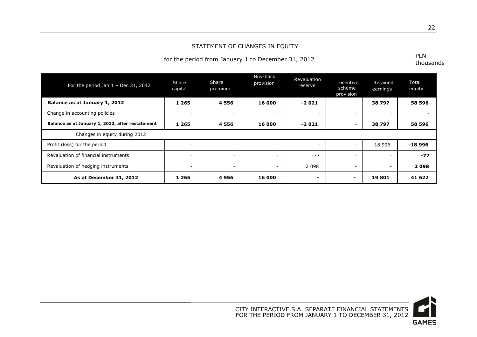#### STATEMENT OF CHANGES IN EQUITY

## for the period from January 1 to December 31, 2012

| For the period Jan $1 - Dec 31$ , 2012           | Share<br>capital         | Share<br>premium         | Buy-back<br>provision    | Revaluation<br>reserve   | Incentive<br>scheme<br>provision | Retained<br>earnings     | Total<br>equity |
|--------------------------------------------------|--------------------------|--------------------------|--------------------------|--------------------------|----------------------------------|--------------------------|-----------------|
| Balance as at January 1, 2012                    | 1 2 6 5                  | 4 5 5 6                  | 16 000                   | $-2021$                  | ۰                                | 38797                    | 58 596          |
| Change in accounting policies                    | $\sim$                   | $\sim$                   | $\sim$                   | $\sim$                   | $\overline{\phantom{a}}$         | $\overline{\phantom{a}}$ |                 |
| Balance as at January 1, 2012, after restatement | 1 2 6 5                  | 4 5 5 6                  | 16 000                   | $-2021$                  | $\overline{\phantom{a}}$         | 38797                    | 58 596          |
| Changes in equity during 2012                    |                          |                          |                          |                          |                                  |                          |                 |
| Profit (loss) for the period                     | $\overline{\phantom{a}}$ | $\overline{\phantom{a}}$ | $\overline{\phantom{a}}$ | $\overline{\phantom{0}}$ | $\overline{\phantom{a}}$         | $-18996$                 | $-18996$        |
| Revaluation of financial instruments             | $\overline{\phantom{a}}$ | $\overline{\phantom{0}}$ | $\overline{\phantom{a}}$ | $-77$                    | $\overline{\phantom{a}}$         |                          | $-77$           |
| Revaluation of hedging instruments               | $\overline{\phantom{a}}$ | $\overline{\phantom{a}}$ | $\overline{\phantom{0}}$ | 2 0 9 8                  | $\overline{\phantom{a}}$         |                          | 2098            |
| As at December 31, 2012                          | 1 2 6 5                  | 4 5 5 6                  | 16 000                   | ۰                        | -                                | 19801                    | 41 622          |

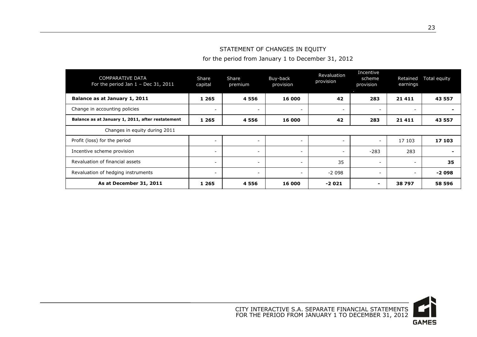### STATEMENT OF CHANGES IN EQUITY

for the period from January 1 to December 31, 2012

| COMPARATIVE DATA<br>For the period Jan $1$ - Dec 31, 2011 | Share<br>capital         | Share<br>premium         | Buy-back<br>provision | Revaluation<br>provision | Incentive<br>scheme<br>provision | Retained<br>earnings     | Total equity |
|-----------------------------------------------------------|--------------------------|--------------------------|-----------------------|--------------------------|----------------------------------|--------------------------|--------------|
| Balance as at January 1, 2011                             | 1 2 6 5                  | 4556                     | 16 000                | 42                       | 283                              | 21 4 11                  | 43 557       |
| Change in accounting policies                             | $\overline{\phantom{a}}$ | $\overline{\phantom{0}}$ |                       | $\overline{\phantom{a}}$ | $\overline{\phantom{a}}$         | $\overline{\phantom{0}}$ |              |
| Balance as at January 1, 2011, after restatement          | 1 2 6 5                  | 4 5 5 6                  | 16 000                | 42                       | 283                              | 21 4 11                  | 43 557       |
| Changes in equity during 2011                             |                          |                          |                       |                          |                                  |                          |              |
| Profit (loss) for the period                              | $\overline{\phantom{a}}$ | $\overline{\phantom{a}}$ |                       | $\overline{\phantom{a}}$ | $\overline{\phantom{a}}$         | 17 103                   | 17 103       |
| Incentive scheme provision                                | $\overline{\phantom{a}}$ | <b>.</b>                 |                       |                          | $-283$                           | 283                      |              |
| Revaluation of financial assets                           | $\overline{\phantom{a}}$ | $\overline{\phantom{0}}$ |                       | 35                       | $\overline{\phantom{0}}$         | $\overline{\phantom{a}}$ | 35           |
| Revaluation of hedging instruments                        | $\overline{\phantom{a}}$ | $\overline{\phantom{0}}$ |                       | $-2098$                  | $\overline{\phantom{a}}$         | $\overline{\phantom{0}}$ | $-2098$      |
| As at December 31, 2011                                   | 1 2 6 5                  | 4556                     | 16 000                | $-2021$                  |                                  | 38797                    | 58 596       |

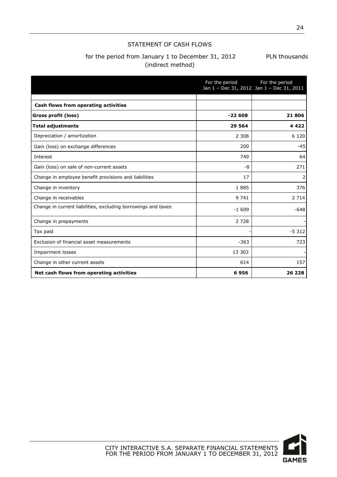#### STATEMENT OF CASH FLOWS

### for the period from January 1 to December 31, 2012 PLN thousands (indirect method)

|                                                               | For the period | For the period<br>Jan 1 - Dec 31, 2012 Jan 1 - Dec 31, 2011 |
|---------------------------------------------------------------|----------------|-------------------------------------------------------------|
| Cash flows from operating activities                          |                |                                                             |
| Gross profit (loss)                                           | $-22608$       | 21806                                                       |
| <b>Total adjustments</b>                                      | 29 5 64        | 4 4 2 2                                                     |
| Depreciation / amortization                                   | 2 3 0 8        | 6 1 2 0                                                     |
| Gain (loss) on exchange differences                           | 200            | $-45$                                                       |
| Interest                                                      | 749            | 64                                                          |
| Gain (loss) on sale of non-current assets                     | -8             | 271                                                         |
| Change in employee benefit provisions and liabilities         | 17             | 2                                                           |
| Change in inventory                                           | 1885           | 376                                                         |
| Change in receivables                                         | 9 741          | 2 7 1 4                                                     |
| Change in current liabilities, excluding borrowings and taxes | $-1609$        | $-648$                                                      |
| Change in prepayments                                         | 2 7 2 8        |                                                             |
| Tax paid                                                      |                | $-5312$                                                     |
| Exclusion of financial asset measurements                     | $-363$         | 723                                                         |
| <b>Impairment losses</b>                                      | 13 303         |                                                             |
| Change in other current assets                                | 614            | 157                                                         |
| Net cash flows from operating activities                      | 6956           | 26 228                                                      |

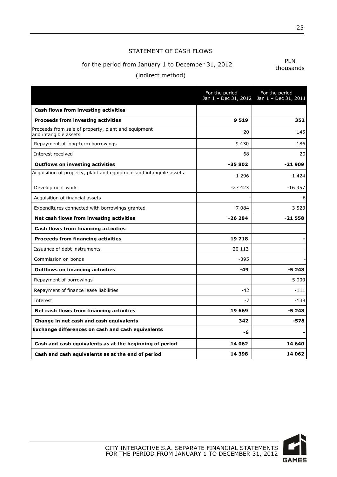#### STATEMENT OF CASH FLOWS

## for the period from January 1 to December 31, 2012

(indirect method)

|                                                                              | For the period | For the period<br>Jan 1 - Dec 31, 2012 Jan 1 - Dec 31, 2011 |
|------------------------------------------------------------------------------|----------------|-------------------------------------------------------------|
| Cash flows from investing activities                                         |                |                                                             |
| <b>Proceeds from investing activities</b>                                    | 9519           | 352                                                         |
| Proceeds from sale of property, plant and equipment<br>and intangible assets | 20             | 145                                                         |
| Repayment of long-term borrowings                                            | 9 4 3 0        | 186                                                         |
| Interest received                                                            | 68             | 20                                                          |
| <b>Outflows on investing activities</b>                                      | $-35802$       | $-21909$                                                    |
| Acquisition of property, plant and equipment and intangible assets           | $-1296$        | $-1424$                                                     |
| Development work                                                             | $-27423$       | $-16957$                                                    |
| Acquisition of financial assets                                              |                | -6                                                          |
| Expenditures connected with borrowings granted                               | $-7084$        | $-3,523$                                                    |
| Net cash flows from investing activities                                     | $-26284$       | $-21558$                                                    |
| Cash flows from financing activities                                         |                |                                                             |
| <b>Proceeds from financing activities</b>                                    | 19718          |                                                             |
| Issuance of debt instruments                                                 | 20 113         |                                                             |
| Commission on bonds                                                          | $-395$         |                                                             |
| <b>Outflows on financing activities</b>                                      | $-49$          | $-5248$                                                     |
| Repayment of borrowings                                                      |                | $-5000$                                                     |
| Repayment of finance lease liabilities                                       | -42            | $-111$                                                      |
| Interest                                                                     | $-7$           | $-138$                                                      |
| Net cash flows from financing activities                                     | 19 669         | -5 248                                                      |
| Change in net cash and cash equivalents                                      | 342            | -578                                                        |
| Exchange differences on cash and cash equivalents                            | -6             |                                                             |
| Cash and cash equivalents as at the beginning of period                      | 14 062         | 14 640                                                      |
| Cash and cash equivalents as at the end of period                            | 14 3 9 8       | 14 062                                                      |

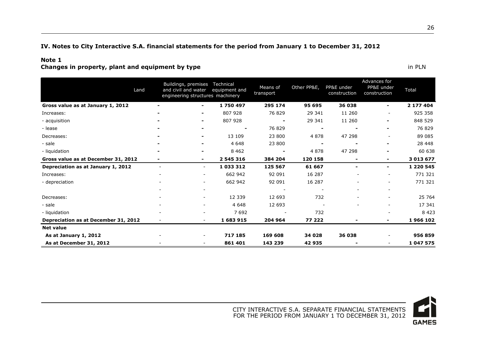#### **IV. Notes to City Interactive S.A. financial statements for the period from January 1 to December 31, 2012**

#### **Note 1**

**Changes in property, plant and equipment by type in PLN** 

<span id="page-26-0"></span>

|                                      | Land                     | Buildings, premises Technical<br>engineering structures machinery | and civil and water equipment and | Means of<br>transport | Other PP&E, | PP&E under<br>construction | Advances for<br>PP&E under<br>construction | Total         |
|--------------------------------------|--------------------------|-------------------------------------------------------------------|-----------------------------------|-----------------------|-------------|----------------------------|--------------------------------------------|---------------|
| Gross value as at January 1, 2012    |                          | $\blacksquare$                                                    | 1750497                           | 295 174               | 95 695      | 36 038                     | $\blacksquare$                             | 2 177 404     |
| Increases:                           |                          | ۰                                                                 | 807 928                           | 76 829                | 29 341      | 11 260                     |                                            | 925 358       |
| - acquisition                        |                          | $\overline{\phantom{0}}$                                          | 807 928                           |                       | 29 341      | 11 260                     | -                                          | 848 529       |
| - lease                              |                          | $\overline{\phantom{a}}$                                          | $\overline{\phantom{0}}$          | 76 829                |             |                            | $\overline{\phantom{a}}$                   | 76 829        |
| Decreases:                           |                          | $\overline{\phantom{a}}$                                          | 13 109                            | 23 800                | 4 8 7 8     | 47 298                     |                                            | 89 085        |
| - sale                               |                          |                                                                   | 4 6 4 8                           | 23 800                |             |                            | -                                          | 28 448        |
| - liquidation                        |                          |                                                                   | 8 4 6 2                           |                       | 4878        | 47 298                     |                                            | 60 638        |
| Gross value as at December 31, 2012  | ۰                        | ۰                                                                 | 2 545 316                         | 384 204               | 120 158     | $\blacksquare$             | $\blacksquare$                             | 3 013 677     |
| Depreciation as at January 1, 2012   | $\overline{\phantom{a}}$ | $\sim$                                                            | 1 033 312                         | 125 567               | 61 667      | $\overline{\phantom{0}}$   | ٠                                          | 1 2 2 0 5 4 5 |
| Increases:                           |                          |                                                                   | 662 942                           | 92 091                | 16 287      |                            |                                            | 771 321       |
| - depreciation                       |                          |                                                                   | 662 942                           | 92 091                | 16 287      |                            | $\qquad \qquad -$                          | 771 321       |
|                                      |                          |                                                                   |                                   |                       |             |                            | $\qquad \qquad \blacksquare$               |               |
| Decreases:                           |                          |                                                                   | 12 339                            | 12 693                | 732         |                            | $\qquad \qquad -$                          | 25 764        |
| - sale                               |                          |                                                                   | 4 6 4 8                           | 12 693                |             |                            | $\qquad \qquad -$                          | 17 341        |
| - liquidation                        |                          |                                                                   | 7692                              |                       | 732         |                            |                                            | 8423          |
| Depreciation as at December 31, 2012 | $\overline{\phantom{a}}$ |                                                                   | 1 683 915                         | 204 964               | 77 222      |                            | ٠                                          | 1966 102      |
| <b>Net value</b>                     |                          |                                                                   |                                   |                       |             |                            |                                            |               |
| As at January 1, 2012                |                          |                                                                   | 717 185                           | 169 608               | 34 028      | 36 038                     | $\qquad \qquad -$                          | 956 859       |
| As at December 31, 2012              |                          |                                                                   | 861 401                           | 143 239               | 42 935      |                            | $\qquad \qquad -$                          | 1 047 575     |

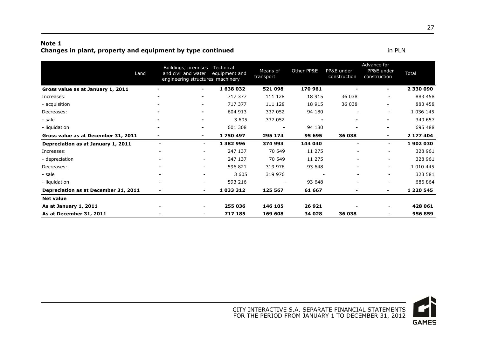#### **Note 1 Changes in plant, property and equipment by type continued in PLN** in PLN

| Land                                 |                          | Buildings, premises<br>and civil and water<br>engineering structures machinery | Technical<br>equipment and | Means of<br>transport | Other PP&E | PP&E under<br>construction | Advance for<br>PP&E under<br>construction | Total         |
|--------------------------------------|--------------------------|--------------------------------------------------------------------------------|----------------------------|-----------------------|------------|----------------------------|-------------------------------------------|---------------|
| Gross value as at January 1, 2011    | -                        | $\blacksquare$                                                                 | 1638032                    | 521 098               | 170 961    |                            | $\blacksquare$                            | 2 330 090     |
| Increases:                           | -                        | $\blacksquare$                                                                 | 717 377                    | 111 128               | 18 915     | 36 038                     |                                           | 883 458       |
| - acquisition                        | $\overline{\phantom{a}}$ | $\blacksquare$                                                                 | 717 377                    | 111 128               | 18 915     | 36 038                     | $\blacksquare$                            | 883 458       |
| Decreases:                           |                          | $\blacksquare$                                                                 | 604 913                    | 337 052               | 94 180     |                            |                                           | 1 0 36 1 45   |
| - sale                               |                          |                                                                                | 3 6 0 5                    | 337 052               |            |                            | $\blacksquare$                            | 340 657       |
| - liquidation                        |                          |                                                                                | 601 308                    |                       | 94 180     |                            | $\blacksquare$                            | 695 488       |
| Gross value as at December 31, 2011  | ۰                        | $\blacksquare$                                                                 | 1750497                    | 295 174               | 95 695     | 36 038                     | $\blacksquare$                            | 2 177 404     |
| Depreciation as at January 1, 2011   | $\overline{\phantom{a}}$ | $\overline{\phantom{0}}$                                                       | 1 382 996                  | 374 993               | 144 040    |                            | $\sim$                                    | 1902030       |
| Increases:                           |                          | Ξ.                                                                             | 247 137                    | 70 549                | 11 275     |                            |                                           | 328 961       |
| - depreciation                       |                          |                                                                                | 247 137                    | 70 549                | 11 275     | ۰                          | $\sim$                                    | 328 961       |
| Decreases:                           |                          | $\overline{\phantom{0}}$                                                       | 596 821                    | 319 976               | 93 648     |                            | $\sim$                                    | 1 0 1 0 4 4 5 |
| - sale                               |                          |                                                                                | 3 6 0 5                    | 319 976               |            | $\overline{\phantom{a}}$   |                                           | 323 581       |
| - liquidation                        |                          |                                                                                | 593 216                    |                       | 93 648     |                            |                                           | 686 864       |
| Depreciation as at December 31, 2011 |                          | $\sim$                                                                         | 1 033 312                  | 125 567               | 61 667     |                            | $\blacksquare$                            | 1 2 2 0 5 4 5 |
| <b>Net value</b>                     |                          |                                                                                |                            |                       |            |                            |                                           |               |
| As at January 1, 2011                |                          |                                                                                | 255 036                    | 146 105               | 26 921     |                            | $\overline{\phantom{a}}$                  | 428 061       |
| As at December 31, 2011              |                          |                                                                                | 717 185                    | 169 608               | 34 028     | 36 038                     |                                           | 956 859       |

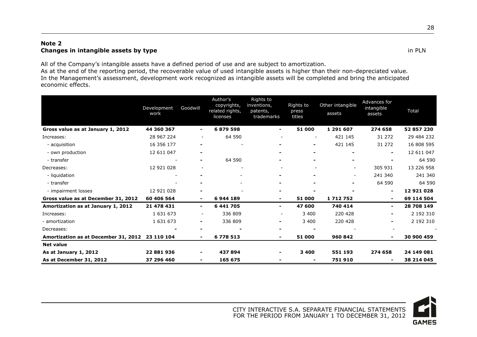#### **Note 2 Changes in intangible assets by type** in PLN

All of the Company's intangible assets have a defined period of use and are subject to amortization.

As at the end of the reporting period, the recoverable value of used intangible assets is higher than their non-depreciated value. In the Management's assessment, development work recognized as intangible assets will be completed and bring the anticipated economic effects.

|                                                 | Development<br>work | Goodwill                 | Author's<br>copyrights,<br>related rights,<br>licenses | Rights to<br>inventions,<br>patents,<br>trademarks | Rights to<br>press<br>titles | Other intangible<br>assets | Advances for<br>intangible<br>assets | <b>Total</b> |
|-------------------------------------------------|---------------------|--------------------------|--------------------------------------------------------|----------------------------------------------------|------------------------------|----------------------------|--------------------------------------|--------------|
| Gross value as at January 1, 2012               | 44 360 367          | ۰.                       | 6879598                                                | $\blacksquare$                                     | 51 000                       | 1 291 607                  | 274 658                              | 52 857 230   |
| Increases:                                      | 28 967 224          | $\overline{\phantom{a}}$ | 64 590                                                 | $\overline{\phantom{a}}$                           |                              | 421 145                    | 31 272                               | 29 484 232   |
| - acquisition                                   | 16 356 177          |                          |                                                        |                                                    | $\blacksquare$               | 421 145                    | 31 272                               | 16 808 595   |
| - own production                                | 12 611 047          | ۰                        |                                                        |                                                    |                              |                            | ۰.                                   | 12 611 047   |
| - transfer                                      |                     | ۰                        | 64 590                                                 |                                                    |                              |                            |                                      | 64 590       |
| Decreases:                                      | 12 921 028          | $\overline{\phantom{a}}$ | $\qquad \qquad -$                                      | $\sim$                                             |                              | $\sim$                     | 305 931                              | 13 226 958   |
| - liquidation                                   |                     |                          |                                                        |                                                    |                              | $\sim$                     | 241 340                              | 241 340      |
| - transfer                                      |                     |                          |                                                        |                                                    |                              |                            | 64 590                               | 64 590       |
| - impairment losses                             | 12 921 028          | $\blacksquare$           |                                                        | $\blacksquare$                                     |                              |                            | $\blacksquare$                       | 12 921 028   |
| Gross value as at December 31, 2012             | 60 406 564          | ۰.                       | 6944189                                                |                                                    | 51 000                       | 1712752                    | $\blacksquare$                       | 69 114 504   |
| Amortization as at January 1, 2012              | 21 478 431          | ۰.                       | 6 441 705                                              | ۰                                                  | 47 600                       | 740 414                    | ۰.                                   | 28 708 149   |
| Increases:                                      | 1 631 673           | $\overline{\phantom{a}}$ | 336 809                                                | $\overline{\phantom{a}}$                           | 3 4 0 0                      | 220 428                    | $\overline{\phantom{a}}$             | 2 192 310    |
| - amortization                                  | 1 631 673           | $\overline{\phantom{a}}$ | 336 809                                                |                                                    | 3 4 0 0                      | 220 428                    | $\overline{\phantom{a}}$             | 2 192 310    |
| Decreases:                                      |                     | $\overline{\phantom{0}}$ |                                                        |                                                    |                              |                            |                                      |              |
| Amortization as at December 31, 2012 23 110 104 |                     | ۰.                       | 6778513                                                |                                                    | 51 000                       | 960 842                    | $\overline{\phantom{0}}$             | 30 900 459   |
| <b>Net value</b>                                |                     |                          |                                                        |                                                    |                              |                            |                                      |              |
| As at January 1, 2012                           | 22 881 936          | $\overline{\phantom{0}}$ | 437894                                                 |                                                    | 3 4 0 0                      | 551 193                    | 274 658                              | 24 149 081   |
| As at December 31, 2012                         | 37 296 460          | $\overline{\phantom{0}}$ | 165 675                                                |                                                    |                              | 751 910                    | $\blacksquare$                       | 38 214 045   |



CITY INTERACTIVE S.A. SEPARATE FINANCIAL STATEMENTS FOR THE PERIOD FROM JANUARY 1 TO DECEMBER 31, 2012 28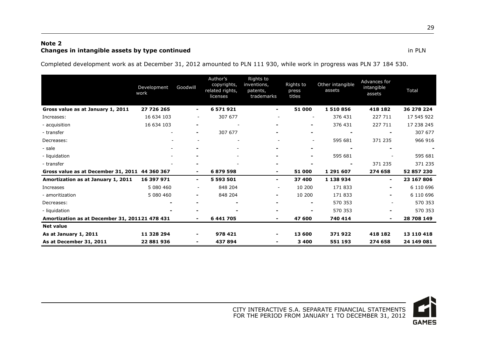#### **Note 2 Changes in intangible assets by type continued in PLN**

Completed development work as at December 31, 2012 amounted to PLN 111 930, while work in progress was PLN 37 184 530.

|                                                | Development<br>work | Goodwill                 | Author's<br>copyrights,<br>related rights,<br>licenses | Rights to<br>inventions,<br>patents,<br>trademarks | Rights to<br>press<br>titles | Other intangible<br>assets | Advances for<br>intangible<br>assets | <b>Total</b> |
|------------------------------------------------|---------------------|--------------------------|--------------------------------------------------------|----------------------------------------------------|------------------------------|----------------------------|--------------------------------------|--------------|
| Gross value as at January 1, 2011              | 27 726 265          | $\blacksquare$           | 6 571 921                                              | Ξ.                                                 | 51 000                       | 1510856                    | 418 182                              | 36 278 224   |
| Increases:                                     | 16 634 103          |                          | 307 677                                                |                                                    | $\overline{\phantom{a}}$     | 376 431                    | 227 711                              | 17 545 922   |
| - acquisition                                  | 16 634 103          | $\overline{\phantom{0}}$ |                                                        |                                                    | ۰                            | 376 431                    | 227 711                              | 17 238 245   |
| - transfer                                     |                     | $\blacksquare$           | 307 677                                                |                                                    |                              |                            |                                      | 307 677      |
| Decreases:                                     |                     |                          |                                                        |                                                    | $\overline{\phantom{a}}$     | 595 681                    | 371 235                              | 966 916      |
| - sale                                         |                     |                          |                                                        |                                                    | $\blacksquare$               |                            |                                      |              |
| - liquidation                                  |                     |                          |                                                        |                                                    | ۰                            | 595 681                    |                                      | 595 681      |
| - transfer                                     |                     |                          |                                                        |                                                    |                              |                            | 371 235                              | 371 235      |
| Gross value as at December 31, 2011 44 360 367 |                     | $\blacksquare$           | 6879598                                                |                                                    | 51 000                       | 1 291 607                  | 274 658                              | 52 857 230   |
| Amortization as at January 1, 2011             | 16 397 971          | $\sim$                   | 5 593 501                                              | ۰.                                                 | 37 400                       | 1 138 934                  | $\blacksquare$                       | 23 167 806   |
| Increases                                      | 5 080 460           |                          | 848 204                                                |                                                    | 10 200                       | 171 833                    | ۰.                                   | 6 110 696    |
| - amoritization                                | 5 080 460           | $\blacksquare$           | 848 204                                                |                                                    | 10 200                       | 171 833                    |                                      | 6 110 696    |
| Decreases:                                     |                     | $\blacksquare$           | $\blacksquare$                                         | $\blacksquare$                                     | $\blacksquare$               | 570 353                    | $\overline{\phantom{a}}$             | 570 353      |
| - liquidation                                  |                     |                          |                                                        |                                                    |                              | 570 353                    |                                      | 570 353      |
| Amortization as at December 31, 201121 478 431 |                     | $\blacksquare$           | 6 441 705                                              | -                                                  | 47 600                       | 740 414                    | ۰.                                   | 28 708 149   |
| <b>Net value</b>                               |                     |                          |                                                        |                                                    |                              |                            |                                      |              |
| As at January 1, 2011                          | 11 328 294          | $\blacksquare$           | 978 421                                                |                                                    | 13 600                       | 371922                     | 418 182                              | 13 110 418   |
| As at December 31, 2011                        | 22 881 936          | $\blacksquare$           | 437894                                                 | -                                                  | 3 4 0 0                      | 551 193                    | 274 658                              | 24 149 081   |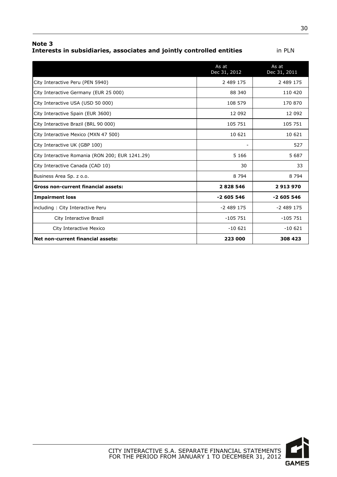**Note 3 Interests in subsidiaries, associates and jointly controlled entities** in PLN

|                                                 | As at<br>Dec 31, 2012 | As at<br>Dec 31, 2011 |
|-------------------------------------------------|-----------------------|-----------------------|
| City Interactive Peru (PEN 5940)                | 2 489 175             | 2 489 175             |
| City Interactive Germany (EUR 25 000)           | 88 340                | 110 420               |
| City Interactive USA (USD 50 000)               | 108 579               | 170 870               |
| City Interactive Spain (EUR 3600)               | 12 092                | 12 092                |
| City Interactive Brazil (BRL 90 000)            | 105 751               | 105 751               |
| City Interactive Mexico (MXN 47 500)            | 10 621                | 10 621                |
| City Interactive UK (GBP 100)                   |                       | 527                   |
| City Interactive Romania (RON 200; EUR 1241.29) | 5 1 6 6               | 5 687                 |
| City Interactive Canada (CAD 10)                | 30                    | 33                    |
| Business Area Sp. z o.o.                        | 8 7 9 4               | 8 7 9 4               |
| <b>Gross non-current financial assets:</b>      | 2828546               | 2913970               |
| <b>Impairment loss</b>                          | $-2605546$            | $-2605546$            |
| including: City Interactive Peru                | -2 489 175            | $-2489175$            |
| City Interactive Brazil                         | $-105751$             | $-105751$             |

City Interactive Mexico -10 621 -10 621 -10 621

**Net non-current financial assets: 223 000 308 423**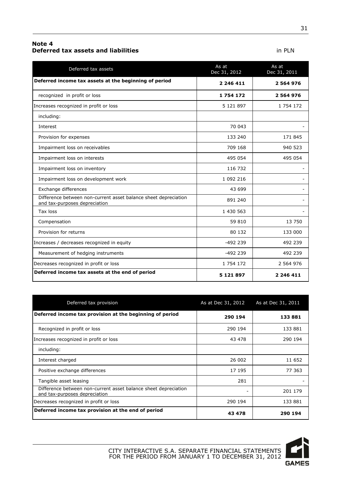#### **Note 4 Deferred tax assets and liabilities in PLN**

| Deferred tax assets                                                                              | As at<br>Dec 31, 2012 | As at<br>Dec 31, 2011 |
|--------------------------------------------------------------------------------------------------|-----------------------|-----------------------|
| Deferred income tax assets at the beginning of period                                            | 2 246 411             | 2 564 976             |
| recognized in profit or loss                                                                     | 1754172               | 2 564 976             |
| Increases recognized in profit or loss                                                           | 5 121 897             | 1 754 172             |
| including:                                                                                       |                       |                       |
| Interest                                                                                         | 70 043                |                       |
| Provision for expenses                                                                           | 133 240               | 171 845               |
| Impairment loss on receivables                                                                   | 709 168               | 940 523               |
| Impairment loss on interests                                                                     | 495 054               | 495 054               |
| Impairment loss on inventory                                                                     | 116 732               |                       |
| Impairment loss on development work                                                              | 1 092 216             |                       |
| Exchange differences                                                                             | 43 699                |                       |
| Difference between non-current asset balance sheet depreciation<br>and tax-purposes depreciation | 891 240               |                       |
| Tax loss                                                                                         | 1 430 563             |                       |
| Compensation                                                                                     | 59 810                | 13 750                |
| Provision for returns                                                                            | 80 132                | 133 000               |
| Increases / decreases recognized in equity                                                       | $-492$ 239            | 492 239               |
| Measurement of hedging instruments                                                               | $-492$ 239            | 492 239               |
| Decreases recognized in profit or loss                                                           | 1 754 172             | 2 564 976             |
| Deferred income tax assets at the end of period                                                  | 5 1 2 1 8 9 7         | 2 246 411             |

| Deferred tax provision                                                                           | As at Dec 31, 2012 | As at Dec 31, 2011 |
|--------------------------------------------------------------------------------------------------|--------------------|--------------------|
| Deferred income tax provision at the beginning of period                                         | 290 194            | 133881             |
| Recognized in profit or loss                                                                     | 290 194            | 133 881            |
| Increases recognized in profit or loss                                                           | 43 478             | 290 194            |
| including:                                                                                       |                    |                    |
| Interest charged                                                                                 | 26 002             | 11 652             |
| Positive exchange differences                                                                    | 17 195             | 77 363             |
| Tangible asset leasing                                                                           | 281                |                    |
| Difference between non-current asset balance sheet depreciation<br>and tax-purposes depreciation | $\qquad \qquad -$  | 201 179            |
| Decreases recognized in profit or loss                                                           | 290 194            | 133 881            |
| Deferred income tax provision at the end of period                                               | 43 478             | 290 194            |



31

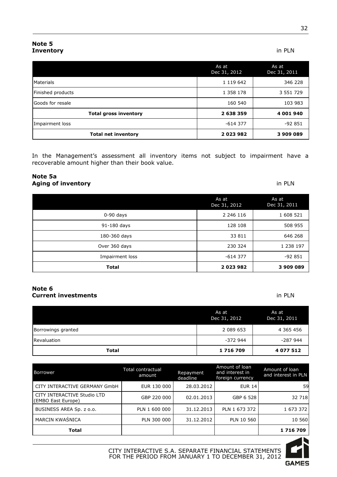|                              | As at<br>Dec 31, 2012 | As at<br>Dec 31, 2011 |
|------------------------------|-----------------------|-----------------------|
| Materials                    | 1 119 642             | 346 228               |
| Finished products            | 1 358 178             | 3 5 5 1 7 2 9         |
| lGoods for resale            | 160 540               | 103 983               |
| <b>Total gross inventory</b> | 2 638 359             | 4 001 940             |
| Impairment loss              | $-614377$             | $-92851$              |
| <b>Total net inventory</b>   | 2023982               | 3 909 089             |

In the Management's assessment all inventory items not subject to impairment have a recoverable amount higher than their book value.

#### **Note 5a Aging of inventory** in PLN

|                 | As at<br>Dec 31, 2012 | As at<br>Dec 31, 2011 |
|-----------------|-----------------------|-----------------------|
| $0-90$ days     | 2 246 116             | 1 608 521             |
| 91-180 days     | 128 108               | 508 955               |
| 180-360 days    | 33 811                | 646 268               |
| Over 360 days   | 230 324               | 1 238 197             |
| Impairment loss | -614 377              | $-92851$              |
| <b>Total</b>    | 2023982               | 3 909 089             |

#### **Note 6 Current investments** in PLN

As at Dec 31, 2012 As at Dec 31, 2011 Borrowings granted 2 089 653 4 365 456 Revaluation -372 944 -287 944 **Total 1 716 709 4 077 512** 

| <b>Borrower</b>                                   | Total contractual<br>amount | Repayment<br>deadline | Amount of loan<br>and interest in<br>foreign currency | Amount of loan<br>and interest in PLN |
|---------------------------------------------------|-----------------------------|-----------------------|-------------------------------------------------------|---------------------------------------|
| CITY INTERACTIVE GERMANY GmbH                     | EUR 130 000                 | 28.03.2012            | <b>EUR 14</b>                                         | 59                                    |
| CITY INTERACTIVE Studio LTD<br>(EMBO East Europe) | GBP 220 000                 | 02.01.2013            | GBP 6 528                                             | 32 718                                |
| BUSINESS AREA Sp. z o.o.                          | PLN 1 600 000               | 31.12.2013            | PLN 1 673 372                                         | 1 673 372                             |
| <b>MARCIN KWAŚNICA</b>                            | PLN 300 000                 | 31.12.2012            | PLN 10 560                                            | 10 560                                |
| Total                                             |                             |                       |                                                       | 1 716 709                             |

| GAMES |
|-------|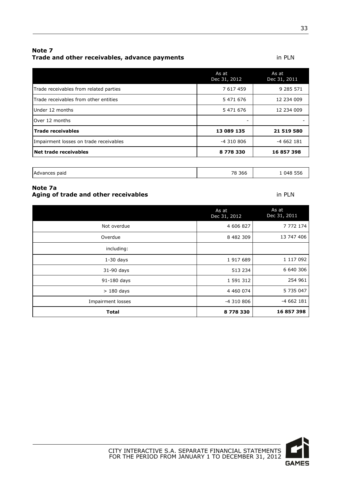#### **Note 7 Trade and other receivables, advance payments in PLN**

|                                        | As at<br>Dec 31, 2012 | As at<br>Dec 31, 2011 |
|----------------------------------------|-----------------------|-----------------------|
| Trade receivables from related parties | 7 617 459             | 9 285 571             |
| Trade receivables from other entities  | 5 471 676             | 12 234 009            |
| Under 12 months                        | 5 471 676             | 12 234 009            |
| lOver 12 months                        |                       |                       |
| <b>Trade receivables</b>               | 13 089 135            | 21 519 580            |
| Impairment losses on trade receivables | -4 310 806            | $-4662181$            |
| Net trade receivables                  | 8778330               | 16 857 398            |
|                                        |                       |                       |

| 366<br>$\neg$<br>Advance<br>paio<br>____ |
|------------------------------------------|
|------------------------------------------|

#### **Note 7a Aging of trade and other receivables in PLN**

|                   | As at<br>Dec 31, 2012 | As at<br>Dec 31, 2011 |
|-------------------|-----------------------|-----------------------|
| Not overdue       | 4 606 827             | 7 7 7 2 1 7 4         |
| Overdue           | 8 482 309             | 13 747 406            |
| including:        |                       |                       |
| $1-30$ days       | 1 917 689             | 1 117 092             |
| 31-90 days        | 513 234               | 6 640 306             |
| 91-180 days       | 1 591 312             | 254 961               |
| $>180$ days       | 4 460 074             | 5 735 047             |
| Impairment losses | -4 310 806            | $-4662181$            |
| <b>Total</b>      | 8778330               | 16 857 398            |

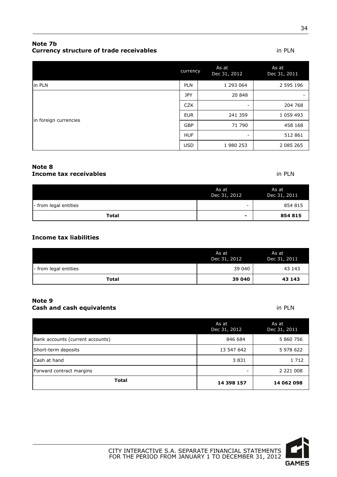#### **Note 7b Currency structure of trade receivables** in PLN

|                       | currency   | As at<br>Dec 31, 2012 | As at<br>Dec 31, 2011 |
|-----------------------|------------|-----------------------|-----------------------|
| in PLN                | <b>PLN</b> | 1 293 064             | 2 595 196             |
| in foreign currencies | <b>JPY</b> | 20 848                | ۰                     |
|                       | <b>CZK</b> | -                     | 204 768               |
|                       | <b>EUR</b> | 241 359               | 1 0 5 9 4 9 3         |
|                       | <b>GBP</b> | 71 790                | 458 168               |
|                       | <b>HUF</b> | -                     | 512 861               |
|                       | <b>USD</b> | 1 980 253             | 2 085 265             |

#### **Note 8 Income tax receivables in PLN**

|                       | As at<br>Dec 31, 2012    | As at<br>Dec 31, 2011 |
|-----------------------|--------------------------|-----------------------|
| - from legal entities | -                        | 854 815               |
| Total                 | $\overline{\phantom{0}}$ | 854 815               |

#### **Income tax liabilities**

|                       | As at<br>Dec 31, 2012 | As at<br>Dec 31, 2011 |
|-----------------------|-----------------------|-----------------------|
| - from legal entities | 39 040                | 43 143                |
| <b>Total</b>          | 39 040                | 43 143                |

#### **Note 9 Cash and cash equivalents in PLN**

|                                  | As at<br>Dec 31, 2012 | As at<br>Dec 31, 2011 |
|----------------------------------|-----------------------|-----------------------|
| Bank accounts (current accounts) | 846 684               | 5 860 756             |
| Short-term deposits              | 13 547 642            | 5 978 622             |
| Cash at hand                     | 3831                  | 1 7 1 2               |
| Forward contract margins         | ۰                     | 2 2 2 1 0 0 8         |
| <b>Total</b>                     | 14 398 157            | 14 062 098            |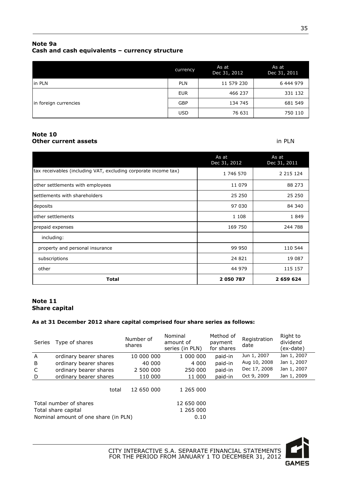#### **Note 9a Cash and cash equivalents – currency structure**

|                       | currency   | As at<br>Dec 31, 2012 | As at<br>Dec 31, 2011 |
|-----------------------|------------|-----------------------|-----------------------|
| in PLN                | <b>PLN</b> | 11 579 230            | 6 444 979             |
| in foreign currencies | EUR        | 466 237               | 331 132               |
|                       | <b>GBP</b> | 134 745               | 681 549               |
|                       | <b>USD</b> | 76 631                | 750 110               |

#### **Note 10 Other current assets** in PLN

|                                                                 | As at<br>Dec 31, 2012 | As at<br>Dec 31, 2011 |
|-----------------------------------------------------------------|-----------------------|-----------------------|
| tax receivables (including VAT, excluding corporate income tax) | 1 746 570             | 2 2 1 5 1 2 4         |
| other settlements with employees                                | 11 079                | 88 273                |
| settlements with shareholders                                   | 25 250                | 25 250                |
| deposits                                                        | 97 030                | 84 340                |
| other settlements                                               | 1 1 0 8               | 1849                  |
| prepaid expenses                                                | 169 750               | 244 788               |
| including:                                                      |                       |                       |
| property and personal insurance                                 | 99 950                | 110 544               |
| subscriptions                                                   | 24 8 21               | 19 087                |
| other                                                           | 44 979                | 115 157               |
| <b>Total</b>                                                    | 2 050 787             | 2 659 624             |

#### **Note 11 Share capital**

#### **As at 31 December 2012 share capital comprised four share series as follows:**

| <b>Series</b>                                                                         | Type of shares         | Number of<br>shares | Nominal<br>amount of<br>series (in PLN) | Method of<br>payment<br>for shares | Registration<br>date | Right to<br>dividend<br>(ex-date) |
|---------------------------------------------------------------------------------------|------------------------|---------------------|-----------------------------------------|------------------------------------|----------------------|-----------------------------------|
| $\mathsf{A}$                                                                          | ordinary bearer shares | 10 000 000          | 1 000 000                               | paid-in                            | Jun 1, 2007          | Jan 1, 2007                       |
| B                                                                                     | ordinary bearer shares | 40 000              | 4 000                                   | paid-in                            | Aug 10, 2008         | Jan 1, 2007                       |
| C                                                                                     | ordinary bearer shares | 2 500 000           | 250 000                                 | paid-in                            | Dec 17, 2008         | Jan 1, 2007                       |
| D                                                                                     | ordinary bearer shares | 110 000             | 11 000                                  | paid-in                            | Oct 9, 2009          | Jan 1, 2009                       |
|                                                                                       | total                  | 12 650 000          | 1 265 000                               |                                    |                      |                                   |
| Total number of shares<br>Total share capital<br>Nominal amount of one share (in PLN) |                        |                     | 12 650 000<br>1 265 000<br>0.10         |                                    |                      |                                   |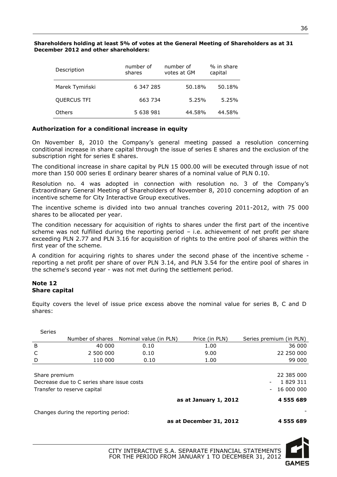#### **Shareholders holding at least 5% of votes at the General Meeting of Shareholders as at 31 December 2012 and other shareholders:**

| Description    | number of<br>shares | number of<br>votes at GM | % in share<br>capital |
|----------------|---------------------|--------------------------|-----------------------|
| Marek Tymiński | 6 347 285           | 50.18%                   | 50.18%                |
| QUERCUS TFI    | 663 734             | 5.25%                    | 5.25%                 |
| Others         | 5 638 981           | 44.58%                   | 44.58%                |

#### **Authorization for a conditional increase in equity**

On November 8, 2010 the Company's general meeting passed a resolution concerning conditional increase in share capital through the issue of series E shares and the exclusion of the subscription right for series E shares.

The conditional increase in share capital by PLN 15 000.00 will be executed through issue of not more than 150 000 series E ordinary bearer shares of a nominal value of PLN 0.10.

Resolution no. 4 was adopted in connection with resolution no. 3 of the Company's Extraordinary General Meeting of Shareholders of November 8, 2010 concerning adoption of an incentive scheme for City Interactive Group executives.

The incentive scheme is divided into two annual tranches covering 2011-2012, with 75 000 shares to be allocated per year.

The condition necessary for acquisition of rights to shares under the first part of the incentive scheme was not fulfilled during the reporting period – i.e. achievement of net profit per share exceeding PLN 2.77 and PLN 3.16 for acquisition of rights to the entire pool of shares within the first year of the scheme.

A condition for acquiring rights to shares under the second phase of the incentive scheme reporting a net profit per share of over PLN 3.14, and PLN 3.54 for the entire pool of shares in the scheme's second year - was not met during the settlement period.

#### **Note 12 Share capital**

Equity covers the level of issue price excess above the nominal value for series B, C and D shares:

| <b>Series</b> |                                                                           |                                         |                       |                                                                                               |
|---------------|---------------------------------------------------------------------------|-----------------------------------------|-----------------------|-----------------------------------------------------------------------------------------------|
|               |                                                                           | Number of shares Nominal value (in PLN) | Price (in PLN)        | Series premium (in PLN)                                                                       |
| B             | 40 000                                                                    | 0.10                                    | 1.00                  | 36 000                                                                                        |
| C             | 2 500 000                                                                 | 0.10                                    | 9.00                  | 22 250 000                                                                                    |
| D             | 110 000                                                                   | 0.10                                    | 1.00                  | 99 000                                                                                        |
| Share premium | Decrease due to C series share issue costs<br>Transfer to reserve capital |                                         |                       | 22 385 000<br>1 829 311<br>$\overline{\phantom{a}}$<br>16 000 000<br>$\overline{\phantom{a}}$ |
|               |                                                                           |                                         | as at January 1, 2012 | 4 555 689                                                                                     |
|               | Changes during the reporting period:                                      |                                         |                       |                                                                                               |

**as at December 31, 2012 4 555 689** 

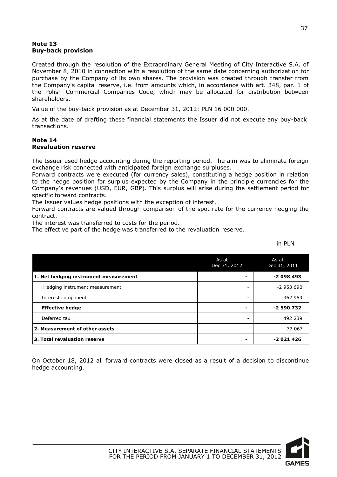#### **Note 13 Buy-back provision**

Created through the resolution of the Extraordinary General Meeting of City Interactive S.A. of November 8, 2010 in connection with a resolution of the same date concerning authorization for purchase by the Company of its own shares. The provision was created through transfer from the Company's capital reserve, i.e. from amounts which, in accordance with art. 348, par. 1 of the Polish Commercial Companies Code, which may be allocated for distribution between shareholders.

Value of the buy-back provision as at December 31, 2012: PLN 16 000 000.

As at the date of drafting these financial statements the Issuer did not execute any buy-back transactions.

#### **Note 14 Revaluation reserve**

The Issuer used hedge accounting during the reporting period. The aim was to eliminate foreign exchange risk connected with anticipated foreign exchange surpluses.

Forward contracts were executed (for currency sales), constituting a hedge position in relation to the hedge position for surplus expected by the Company in the principle currencies for the Company's revenues (USD, EUR, GBP). This surplus will arise during the settlement period for specific forward contracts.

The Issuer values hedge positions with the exception of interest.

Forward contracts are valued through comparison of the spot rate for the currency hedging the contract.

The interest was transferred to costs for the period.

The effective part of the hedge was transferred to the revaluation reserve.

in PLN

|                                       | As at<br>Dec 31, 2012 | As at<br>Dec 31, 2011 |
|---------------------------------------|-----------------------|-----------------------|
| 1. Net hedging instrument measurement |                       | $-2098493$            |
| Hedging instrument measurement        |                       | $-2953690$            |
| Interest component                    |                       | 362 959               |
| <b>Effective hedge</b>                |                       | $-2590732$            |
| Deferred tax                          |                       | 492 239               |
| 2. Measurement of other assets        |                       | 77 067                |
| 3. Total revaluation reserve          |                       | $-2021426$            |

On October 18, 2012 all forward contracts were closed as a result of a decision to discontinue hedge accounting.

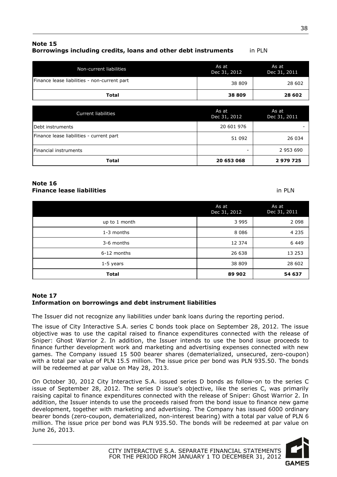#### **Note 15 Borrowings including credits, loans and other debt instruments** in PLN

| Non-current liabilities                      | As at<br>Dec $31, 2012$ | As at<br>Dec 31, 2011 |
|----------------------------------------------|-------------------------|-----------------------|
| Finance lease liabilities - non-current part | 38 809                  | 28 602                |
| Total                                        | 38 809                  | 28 602                |

| <b>Current liabilities</b>               | As at<br>Dec 31, 2012 | As at<br>Dec 31, 2011 |
|------------------------------------------|-----------------------|-----------------------|
| Debt instruments                         | 20 601 976            |                       |
| Finance lease liabilities - current part | 51 092                | 26 034                |
| <b>IFinancial instruments</b>            | -                     | 2 953 690             |
| Total                                    | 20 653 068            | 2 979 725             |

#### **Note 16 Finance lease liabilities** in PLN

|               | As at<br>Dec 31, 2012 | As at<br>Dec 31, 2011 |
|---------------|-----------------------|-----------------------|
| up to 1 month | 3 9 9 5               | 2 0 9 8               |
| 1-3 months    | 8 0 8 6               | 4 2 3 5               |
| 3-6 months    | 12 374                | 6 4 4 9               |
| 6-12 months   | 26 638                | 13 253                |
| $1-5$ years   | 38 809                | 28 602                |
| Total         | 89 902                | 54 637                |

#### **Note 17 Information on borrowings and debt instrument liabilities**

The Issuer did not recognize any liabilities under bank loans during the reporting period.

The issue of City Interactive S.A. series C bonds took place on September 28, 2012. The issue objective was to use the capital raised to finance expenditures connected with the release of Sniper: Ghost Warrior 2. In addition, the Issuer intends to use the bond issue proceeds to finance further development work and marketing and advertising expenses connected with new games. The Company issued 15 500 bearer shares (dematerialized, unsecured, zero-coupon) with a total par value of PLN 15.5 million. The issue price per bond was PLN 935.50. The bonds will be redeemed at par value on May 28, 2013.

On October 30, 2012 City Interactive S.A. issued series D bonds as follow-on to the series C issue of September 28, 2012. The series D issue's objective, like the series C, was primarily raising capital to finance expenditures connected with the release of Sniper: Ghost Warrior 2. In addition, the Issuer intends to use the proceeds raised from the bond issue to finance new game development, together with marketing and advertising. The Company has issued 6000 ordinary bearer bonds (zero-coupon, dematerialized, non-interest bearing) with a total par value of PLN 6 million. The issue price per bond was PLN 935.50. The bonds will be redeemed at par value on June 26, 2013.

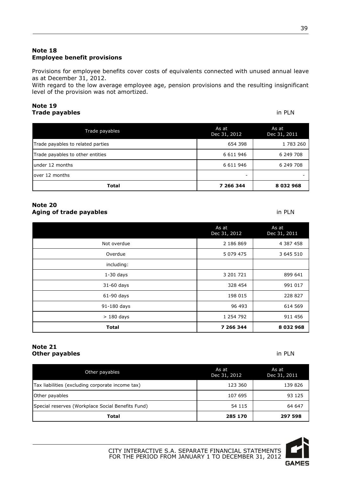#### **Note 18 Employee benefit provisions**

Provisions for employee benefits cover costs of equivalents connected with unused annual leave as at December 31, 2012.

With regard to the low average employee age, pension provisions and the resulting insignificant level of the provision was not amortized.

#### **Note 19 Trade payables** in PLN

| Trade payables                    | As at<br>Dec 31, 2012 | As at<br>Dec 31, 2011 |
|-----------------------------------|-----------------------|-----------------------|
| Trade payables to related parties | 654 398               | 1 783 260             |
| Trade payables to other entities  | 6 6 1 1 9 4 6         | 6 249 708             |
| under 12 months                   | 6 6 1 1 9 4 6         | 6 249 708             |
| lover 12 months                   | -                     |                       |
| <b>Total</b>                      | 7 266 344             | 8 032 968             |

#### **Note 20 Aging of trade payables** in PLN

|              | As at<br>Dec 31, 2012 | As at<br>Dec 31, 2011 |
|--------------|-----------------------|-----------------------|
| Not overdue  | 2 186 869             | 4 387 458             |
| Overdue      | 5 0 7 9 4 7 5         | 3 645 510             |
| including:   |                       |                       |
| $1-30$ days  | 3 201 721             | 899 641               |
| 31-60 days   | 328 454               | 991 017               |
| 61-90 days   | 198 015               | 228 827               |
| 91-180 days  | 96 493                | 614 569               |
| $>180$ days  | 1 254 792             | 911 456               |
| <b>Total</b> | 7 266 344             | 8 032 968             |

#### **Note 21 Other payables** in PLN

| Other payables                                    | As at<br>Dec 31, 2012 | As at<br>Dec 31, 2011 |
|---------------------------------------------------|-----------------------|-----------------------|
| Tax liabilities (excluding corporate income tax)  | 123 360               | 139 826               |
| Other payables                                    | 107 695               | 93 125                |
| Special reserves (Workplace Social Benefits Fund) | 54 115                | 64 647                |
| Total                                             | 285 170               | 297 598               |



CITY INTERACTIVE S.A. SEPARATE FINANCIAL STATEMENTS FOR THE PERIOD FROM JANUARY 1 TO DECEMBER 31, 2012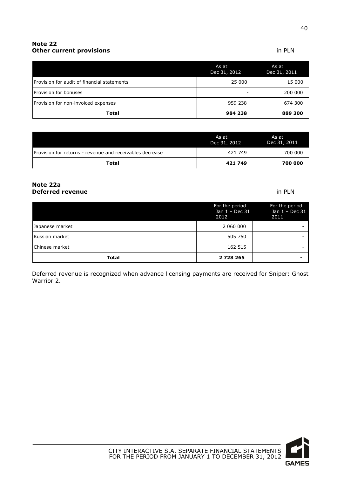### **Note 22 Other current provisions** in PLN

| CITY INTERACTIVE S.A. SEPARATE FINANCIAL STATEMENTS |
|-----------------------------------------------------|
| FOR THE PERIOD FROM JANUARY 1 TO DECEMBER 31, 2012  |
|                                                     |

|                                             | As at<br>Dec 31, 2012 | As at<br>Dec 31, 2011 |
|---------------------------------------------|-----------------------|-----------------------|
| Provision for audit of financial statements | 25 000                | 15 000                |
| Provision for bonuses                       | -                     | 200 000               |
| Provision for non-invoiced expenses         | 959 238               | 674 300               |
| Total                                       | 984 238               | 889 300               |

|                                                          | As at<br>Dec 31, 2012 | As at<br>Dec 31, 2011 |
|----------------------------------------------------------|-----------------------|-----------------------|
| Provision for returns - revenue and receivables decrease | 421 749               | 700 000               |
| Total                                                    | 421749                | 700 000               |

#### **Note 22a Deferred revenue in PLN**

|                 | For the period<br>Jan $1 - Dec 31$<br>2012 | For the period<br>Jan 1 - Dec 31<br>2011 |
|-----------------|--------------------------------------------|------------------------------------------|
| Japanese market | 2 060 000                                  |                                          |
| Russian market  | 505 750                                    |                                          |
| Chinese market  | 162 515                                    |                                          |
| <b>Total</b>    | 2 7 2 8 2 6 5                              |                                          |

Deferred revenue is recognized when advance licensing payments are received for Sniper: Ghost Warrior 2.

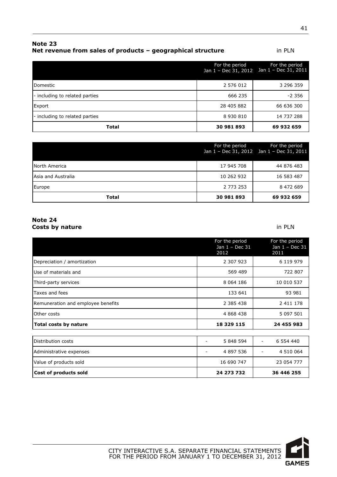| RULE ZJ                                                     |        |
|-------------------------------------------------------------|--------|
| Net revenue from sales of products - geographical structure | in PLN |
|                                                             |        |

| Total                          | 30 981 893                             | 69 932 659                             |
|--------------------------------|----------------------------------------|----------------------------------------|
| - including to related parties | 8 930 810                              | 14 737 288                             |
| Export                         | 28 405 882                             | 66 636 300                             |
| - including to related parties | 666 235                                | $-2.356$                               |
| <b>IDomestic</b>               | 2 576 012                              | 3 296 359                              |
|                                | For the period<br>Jan 1 - Dec 31, 2012 | For the period<br>Jan 1 - Dec 31, 2011 |

|                    | For the period | For the period<br>Jan $1 - Dec 31$ , $2012$ Jan $1 - Dec 31$ , $2011$ |
|--------------------|----------------|-----------------------------------------------------------------------|
| North America      | 17 945 708     | 44 876 483                                                            |
| Asia and Australia | 10 262 932     | 16 583 487                                                            |
| Europe             | 2 773 253      | 8 472 689                                                             |
| Total              | 30 981 893     | 69 932 659                                                            |

#### **Note 24 Costs by nature** in PLN

|                                    | For the period<br>Jan 1 - Dec 31<br>2012 | For the period<br>Jan 1 - Dec 31<br>2011 |
|------------------------------------|------------------------------------------|------------------------------------------|
| Depreciation / amortization        | 2 307 923                                | 6 119 979                                |
| Use of materials and               | 569 489                                  | 722 807                                  |
| Third-party services               | 8 0 64 1 86                              | 10 010 537                               |
| Taxes and fees                     | 133 641                                  | 93 981                                   |
| Remuneration and employee benefits | 2 385 438                                | 2 411 178                                |
| Other costs                        | 4 868 438                                | 5 097 501                                |
| Total costs by nature              | 18 329 115                               | 24 455 983                               |
|                                    |                                          |                                          |
| Distribution costs                 | 5 848 594                                | 6 554 440<br>$\overline{\phantom{0}}$    |
| Administrative expenses            | 4 897 536                                | 4 510 064                                |
| Value of products sold             | 16 690 747                               | 23 054 777                               |
| Cost of products sold              | 24 273 732                               | 36 446 255                               |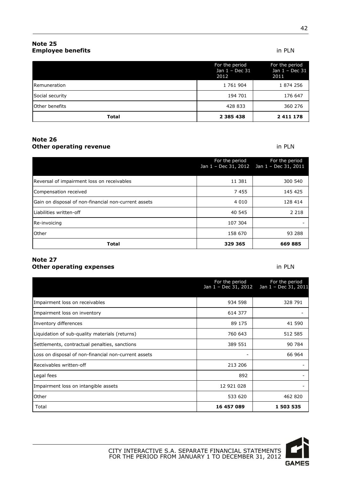#### **Note 25 Employee benefits** in PLN

|                       | For the period<br>Jan 1 - Dec 31<br>2012 | For the period<br>Jan 1 - Dec 31<br>2011 |
|-----------------------|------------------------------------------|------------------------------------------|
| <b>Remuneration</b>   | 1 761 904                                | 1874256                                  |
| Social security       | 194 701                                  | 176 647                                  |
| <b>Other benefits</b> | 428 833                                  | 360 276                                  |
| <b>Total</b>          | 2 3 8 5 4 3 8                            | 2411178                                  |

#### **Note 26 Other operating revenue in PLN**

|                                                      | For the period | For the period<br>Jan 1 - Dec 31, 2012 Jan 1 - Dec 31, 2011 |
|------------------------------------------------------|----------------|-------------------------------------------------------------|
| Reversal of impairment loss on receivables           | 11 381         | 300 540                                                     |
| Compensation received                                | 7455           | 145 425                                                     |
| Gain on disposal of non-financial non-current assets | 4 0 1 0        | 128 414                                                     |
| Liabilities written-off                              | 40 545         | 2 2 1 8                                                     |
| Re-invoicing                                         | 107 304        |                                                             |
| Other                                                | 158 670        | 93 288                                                      |
| <b>Total</b>                                         | 329 365        | 669 885                                                     |

#### **Note 27 Other operating expenses in PLN**

| For the period<br>Jan 1 - Dec 31, 2012               |            | For the period<br>Jan 1 - Dec 31, 2011 |
|------------------------------------------------------|------------|----------------------------------------|
| Impairment loss on receivables                       | 934 598    | 328 791                                |
| Impairment loss on inventory                         | 614 377    |                                        |
| Inventory differences                                | 89 175     | 41 590                                 |
| Liquidation of sub-quality materials (returns)       | 760 643    | 512 585                                |
| Settlements, contractual penalties, sanctions        | 389 551    | 90 784                                 |
| Loss on disposal of non-financial non-current assets |            | 66 964                                 |
| Receivables written-off                              | 213 206    |                                        |
| Legal fees                                           | 892        |                                        |
| Impairment loss on intangible assets                 | 12 921 028 |                                        |
| Other                                                | 533 620    | 462 820                                |
| Total                                                | 16 457 089 | 1 503 535                              |

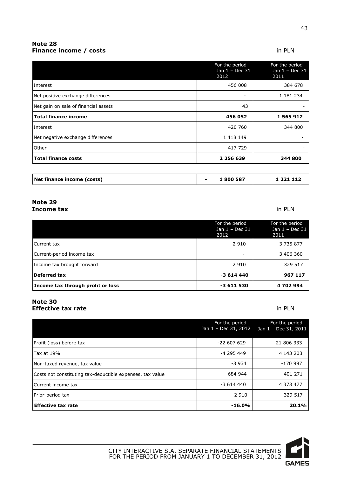#### **Note 28 Finance income / costs** in PLN

43

|                                      | For the period<br>Jan 1 - Dec 31<br>2012 | For the period<br>Jan 1 - Dec 31<br>2011 |
|--------------------------------------|------------------------------------------|------------------------------------------|
| Interest                             | 456 008                                  | 384 678                                  |
| Net positive exchange differences    |                                          | 1 181 234                                |
| Net gain on sale of financial assets | 43                                       |                                          |
| <b>Total finance income</b>          | 456 052                                  | 1 565 912                                |
| Interest                             | 420 760                                  | 344 800                                  |
| Net negative exchange differences    | 1 418 149                                |                                          |
| Other                                | 417 729                                  |                                          |
| <b>Total finance costs</b>           | 2 256 639                                | 344 800                                  |
|                                      |                                          |                                          |
| Net finance income (costs)           | 1800587                                  | 1 221 112                                |

#### **Note 29 Income tax** in PLN

| Income tax through profit or loss | $-3611530$                               | 4702994                                  |
|-----------------------------------|------------------------------------------|------------------------------------------|
| Deferred tax                      | $-3614440$                               | 967 117                                  |
| Income tax brought forward        | 2910                                     | 329 517                                  |
| Current-period income tax         |                                          | 3 406 360                                |
| Current tax                       | 2 9 1 0                                  | 3 7 3 5 8 7 7                            |
|                                   | For the period<br>Jan 1 - Dec 31<br>2012 | For the period<br>Jan 1 - Dec 31<br>2011 |
|                                   |                                          |                                          |

#### **Note 30 Effective tax rate** in **PLN**

For the period Jan 1 – Dec 31, 2012 For the period Jan 1 – Dec 31, 2011 Profit (loss) before tax 21 806 333 Tax at 19% -4 295 449 4 143 203 Non-taxed revenue, tax value  $\sim$  3 934  $\sim$  -170 997 Costs not constituting tax-deductible expenses, tax value 684 944 684 944 401 271 Current income tax **4 373 477 4 373 477** Prior-period tax 2 910 329 517 **Effective tax rate -16.0% 20.1%**

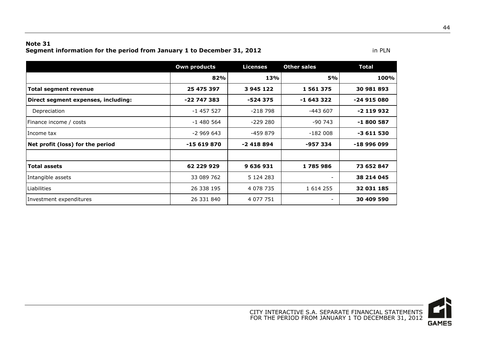#### **Note 31 Segment information for the period from January 1 to December 31, 2012 in PLN** in PLN

|                                     | <b>Own products</b> | <b>Licenses</b> | <b>Other sales</b> | <b>Total</b> |
|-------------------------------------|---------------------|-----------------|--------------------|--------------|
|                                     | 82%                 | 13%             | <b>5%</b>          | 100%         |
| <b>Total segment revenue</b>        | 25 475 397          | 3 945 122       | 1 561 375          | 30 981 893   |
| Direct segment expenses, including: | $-22747383$         | $-524375$       | $-1643322$         | $-24915080$  |
| Depreciation                        | $-1$ 457 527        | $-218798$       | $-443607$          | $-2$ 119 932 |
| Finance income / costs              | $-1480564$          | $-229280$       | $-90743$           | -1 800 587   |
| Income tax                          | $-2969643$          | -459 879        | $-182008$          | $-3611530$   |
| Net profit (loss) for the period    | $-15619870$         | $-2418894$      | -957 334           | -18 996 099  |
|                                     |                     |                 |                    |              |
| <b>Total assets</b>                 | 62 229 929          | 9 636 931       | 1785986            | 73 652 847   |
| Intangible assets                   | 33 089 762          | 5 1 2 4 2 8 3   |                    | 38 214 045   |
| Liabilities                         | 26 338 195          | 4 078 735       | 1 614 255          | 32 031 185   |
| Investment expenditures             | 26 331 840          | 4 077 751       |                    | 30 409 590   |

44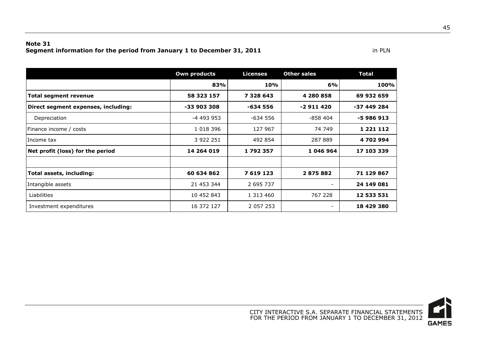#### **Note 31 Segment information for the period from January 1 to December 31, 2011 in PLN** in PLN

|                                     | <b>Own products</b> | <b>Licenses</b> | <b>Other sales</b>       | <b>Total</b>  |
|-------------------------------------|---------------------|-----------------|--------------------------|---------------|
|                                     | 83%                 | 10%             | 6%                       | 100%          |
| <b>Total segment revenue</b>        | 58 323 157          | 7 328 643       | 4 280 858                | 69 932 659    |
| Direct segment expenses, including: | -33 903 308         | $-634556$       | $-2911420$               | -37 449 284   |
| Depreciation                        | -4 493 953          | $-634556$       | $-858404$                | -5 986 913    |
| Finance income / costs              | 1 0 18 3 96         | 127 967         | 74 749                   | 1 2 2 1 1 1 2 |
| Income tax                          | 3 922 251           | 492 854         | 287 889                  | 4702994       |
| Net profit (loss) for the period    | 14 264 019          | 1792357         | 1 046 964                | 17 103 339    |
|                                     |                     |                 |                          |               |
| Total assets, including:            | 60 634 862          | 7 619 123       | 2875882                  | 71 129 867    |
| Intangible assets                   | 21 453 344          | 2 695 737       | $\overline{\phantom{a}}$ | 24 149 081    |
| Liabilities                         | 10 452 843          | 1 313 460       | 767 228                  | 12 533 531    |
| Investment expenditures             | 16 372 127          | 2 0 5 7 2 5 3   | $\overline{\phantom{a}}$ | 18 429 380    |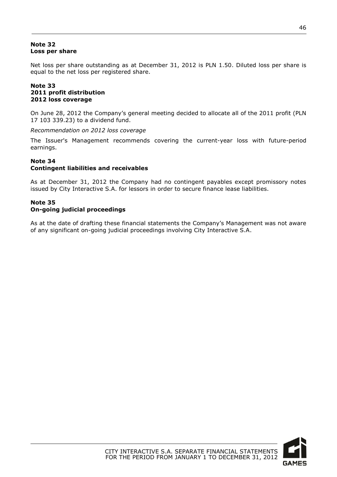#### **Note 32 Loss per share**

Net loss per share outstanding as at December 31, 2012 is PLN 1.50. Diluted loss per share is equal to the net loss per registered share.

#### **Note 33 2011 profit distribution 2012 loss coverage**

On June 28, 2012 the Company's general meeting decided to allocate all of the 2011 profit (PLN 17 103 339.23) to a dividend fund.

*Recommendation on 2012 loss coverage*

The Issuer's Management recommends covering the current-year loss with future-period earnings.

#### **Note 34**

#### **Contingent liabilities and receivables**

As at December 31, 2012 the Company had no contingent payables except promissory notes issued by City Interactive S.A. for lessors in order to secure finance lease liabilities.

## **Note 35**

#### **On-going judicial proceedings**

As at the date of drafting these financial statements the Company's Management was not aware of any significant on-going judicial proceedings involving City Interactive S.A.

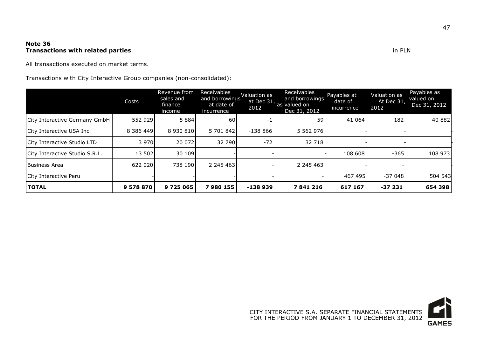#### **Note 36 Transactions with related parties** in PLN

All transactions executed on market terms.

Transactions with City Interactive Group companies (non-consolidated):

|                                | Costs     | Revenue from<br>sales and<br>finance<br>income | Receivables<br>and borrowings<br>at date of<br>incurrence | Valuation as<br>2012 | Receivables<br>and borrowings<br>at Dec 31, as valued on<br>Dec 31, 2012 | Payables at<br>date of<br>incurrence | Valuation as<br>At Dec 31<br>2012 | Payables as<br>valued on<br>Dec 31, 2012 |
|--------------------------------|-----------|------------------------------------------------|-----------------------------------------------------------|----------------------|--------------------------------------------------------------------------|--------------------------------------|-----------------------------------|------------------------------------------|
| City Interactive Germany GmbH  | 552 929   | 5 8 8 4                                        | 60                                                        | -1                   | 59                                                                       | 41 064                               | 182                               | 40 882                                   |
| City Interactive USA Inc.      | 8 386 449 | 8 930 810                                      | 5 701 842                                                 | $-138866$            | 5 5 6 2 9 7 6                                                            |                                      |                                   |                                          |
| City Interactive Studio LTD    | 3 9 7 0   | 20 072                                         | 32 790                                                    | $-72$                | 32 718                                                                   |                                      |                                   |                                          |
| City Interactive Studio S.R.L. | 13 502    | 30 109                                         |                                                           |                      |                                                                          | 108 608                              | -365                              | 108 973                                  |
| Business Area                  | 622 020   | 738 190                                        | 2 245 463                                                 |                      | 2 2 4 5 4 6 3                                                            |                                      |                                   |                                          |
| City Interactive Peru          |           |                                                |                                                           |                      |                                                                          | 467 495                              | $-37048$                          | 504 543                                  |
| <b>TOTAL</b>                   | 9 578 870 | 9 725 065                                      | 7980155                                                   | $-138939$            | 7841216                                                                  | 617 167                              | $-37231$                          | 654 398                                  |

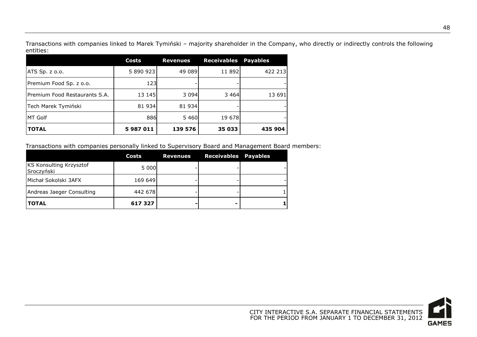Transactions with companies linked to Marek Tymiński – majority shareholder in the Company, who directly or indirectly controls the following entities:

|                               | Costs     | <b>Revenues</b> | <b>Receivables</b> | <b>Payables</b> |
|-------------------------------|-----------|-----------------|--------------------|-----------------|
| ATS Sp. z o.o.                | 5 890 923 | 49 089          | 11 892             | 422 213         |
| Premium Food Sp. z o.o.       | 123       |                 |                    |                 |
| Premium Food Restaurants S.A. | 13 145    | 3 0 9 4         | 3 4 6 4            | 13 691          |
| Tech Marek Tymiński           | 81 934    | 81 934          |                    |                 |
| <b>MT Golf</b>                | 886       | 5 4 6 0         | 19 678             |                 |
| <b>TOTAL</b>                  | 5987011   | 139 576         | 35 033             | 435 904         |

Transactions with companies personally linked to Supervisory Board and Management Board members:

|                                              | Costs   | Revenues | <b>Receivables Payables</b> |  |
|----------------------------------------------|---------|----------|-----------------------------|--|
| <b>KS Konsulting Krzysztof</b><br>Sroczyński | 5 000   |          |                             |  |
| lMichał Sokolski 3AFX                        | 169 649 |          |                             |  |
| Andreas Jaeger Consulting                    | 442 678 |          |                             |  |
| <b>TOTAL</b>                                 | 617 327 |          |                             |  |

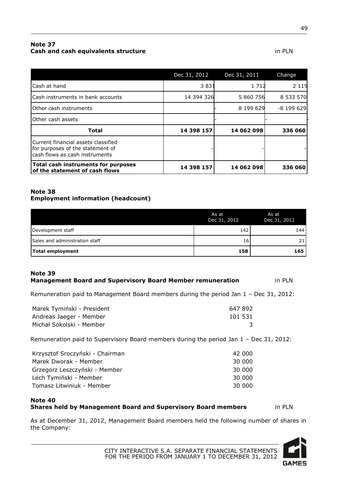#### **Note 37 Cash and cash equivalents structure in PLN**

|                                                                                                           | Dec 31, 2012 | Dec 31, 2011 | Change     |
|-----------------------------------------------------------------------------------------------------------|--------------|--------------|------------|
| lCash at hand                                                                                             | 3831         | 1 7 1 2      | 2 1 1 9    |
| <b>I</b> Cash instruments in bank accounts                                                                | 14 394 326   | 5 860 756    | 8 533 570  |
| Other cash instruments                                                                                    |              | 8 199 6 29   | $-8199629$ |
| Other cash assets                                                                                         |              |              |            |
| <b>Total</b>                                                                                              | 14 398 157   | 14 062 098   | 336 060    |
| Current financial assets classified<br>for purposes of the statement of<br>cash flows as cash instruments |              |              |            |
| Total cash instruments for purposes<br>of the statement of cash flows                                     | 14 398 157   | 14 062 098   | 336 060    |

#### **Note 38 Employment information (headcount)**

|                                | As at<br>Dec 31, 2012 | As at<br>Dec 31, 2011 |
|--------------------------------|-----------------------|-----------------------|
| Development staff              | 142                   | 144                   |
| Sales and administration staff | 16                    |                       |
| Total employment               | 158                   | 165                   |

#### **Note 39 Management Board and Supervisory Board Member remuneration** in PLN

Remuneration paid to Management Board members during the period Jan 1 – Dec 31, 2012:

| Marek Tymiński - President | 647 892 |
|----------------------------|---------|
| Andreas Jaeger - Member    | 101 531 |
| Michał Sokolski - Member   |         |

Remuneration paid to Supervisory Board members during the period Jan 1 – Dec 31, 2012:

| Krzysztof Sroczyński - Chairman | 42 000 |
|---------------------------------|--------|
| Marek Dworak - Member           | 30 000 |
| Grzegorz Leszczyński - Member   | 30 000 |
| Lech Tymiński - Member          | 30 000 |
| Tomasz Litwiniuk - Member       | 30 000 |
|                                 |        |

#### **Note 40 Shares held by Management Board and Supervisory Board members** in PLN

As at December 31, 2012, Management Board members held the following number of shares in the Company:

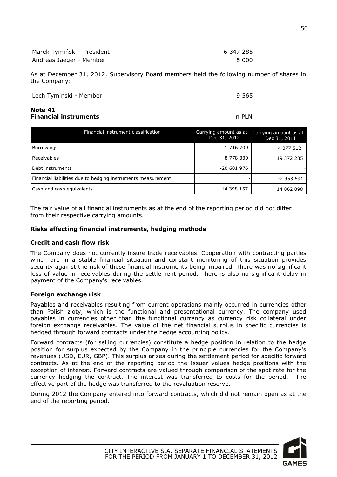| Marek Tymiński - President | 6 347 285 |
|----------------------------|-----------|
| Andreas Jaeger - Member    | 5 000     |

As at December 31, 2012, Supervisory Board members held the following number of shares in the Company:

| Lech Tymiński - Member | 9 5 6 5 |
|------------------------|---------|

#### **Note 41 Financial instruments** in PLN

| Financial instrument classification                          | Carrying amount as at<br>Dec 31, 2012 | Carrying amount as at<br>Dec 31, 2011 |
|--------------------------------------------------------------|---------------------------------------|---------------------------------------|
| <b>Borrowings</b>                                            | 1 716 709                             | 4 077 512                             |
| Receivables                                                  | 8 778 330                             | 19 372 235                            |
| Debt instruments                                             | $-20601976$                           |                                       |
| Financial liabilities due to hedging instruments measurement |                                       | -2 953 691                            |
| Cash and cash equivalents                                    | 14 398 157                            | 14 062 098                            |

The fair value of all financial instruments as at the end of the reporting period did not differ from their respective carrying amounts.

#### **Risks affecting financial instruments, hedging methods**

#### **Credit and cash flow risk**

The Company does not currently insure trade receivables. Cooperation with contracting parties which are in a stable financial situation and constant monitoring of this situation provides security against the risk of these financial instruments being impaired. There was no significant loss of value in receivables during the settlement period. There is also no significant delay in payment of the Company's receivables.

#### **Foreign exchange risk**

Payables and receivables resulting from current operations mainly occurred in currencies other than Polish zloty, which is the functional and presentational currency. The company used payables in currencies other than the functional currency as currency risk collateral under foreign exchange receivables. The value of the net financial surplus in specific currencies is hedged through forward contracts under the hedge accounting policy.

Forward contracts (for selling currencies) constitute a hedge position in relation to the hedge position for surplus expected by the Company in the principle currencies for the Company's revenues (USD, EUR, GBP). This surplus arises during the settlement period for specific forward contracts. As at the end of the reporting period the Issuer values hedge positions with the exception of interest. Forward contracts are valued through comparison of the spot rate for the currency hedging the contract. The interest was transferred to costs for the period. The effective part of the hedge was transferred to the revaluation reserve.

During 2012 the Company entered into forward contracts, which did not remain open as at the end of the reporting period.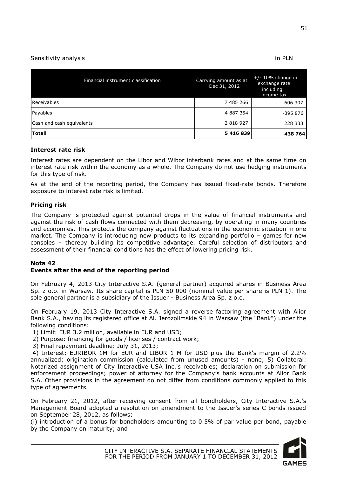#### Sensitivity analysis in PLN

| Financial instrument classification | Carrying amount as at<br>Dec 31, 2012 | $+/- 10\%$ change in<br>exchange rate<br>including<br>income tax |
|-------------------------------------|---------------------------------------|------------------------------------------------------------------|
| Receivables                         | 7 485 266                             | 606 307                                                          |
| Payables                            | -4 887 354                            | -395 876                                                         |
| Cash and cash equivalents           | 2 8 18 9 27                           | 228 333                                                          |
| <b>Totall</b>                       | 5 416 839                             | 438 764                                                          |

#### **Interest rate risk**

Interest rates are dependent on the Libor and Wibor interbank rates and at the same time on interest rate risk within the economy as a whole. The Company do not use hedging instruments for this type of risk.

As at the end of the reporting period, the Company has issued fixed-rate bonds. Therefore exposure to interest rate risk is limited.

#### **Pricing risk**

The Company is protected against potential drops in the value of financial instruments and against the risk of cash flows connected with them decreasing, by operating in many countries and economies. This protects the company against fluctuations in the economic situation in one market. The Company is introducing new products to its expanding portfolio – games for new consoles – thereby building its competitive advantage. Careful selection of distributors and assessment of their financial conditions has the effect of lowering pricing risk.

#### **Nota 42**

#### **Events after the end of the reporting period**

On February 4, 2013 City Interactive S.A. (general partner) acquired shares in Business Area Sp. z o.o. in Warsaw. Its share capital is PLN 50 000 (nominal value per share is PLN 1). The sole general partner is a subsidiary of the Issuer - Business Area Sp. z o.o.

On February 19, 2013 City Interactive S.A. signed a reverse factoring agreement with Alior Bank S.A., having its registered office at Al. Jerozolimskie 94 in Warsaw (the "Bank") under the following conditions:

1) Limit: EUR 3.2 million, available in EUR and USD;

- 2) Purpose: financing for goods / licenses / contract work;
- 3) Final repayment deadline: July 31, 2013;

4) Interest: EURIBOR 1M for EUR and LIBOR 1 M for USD plus the Bank's margin of 2.2% annualized; origination commission (calculated from unused amounts) - none; 5) Collateral: Notarized assignment of City Interactive USA Inc.'s receivables; declaration on submission for enforcement proceedings; power of attorney for the Company's bank accounts at Alior Bank S.A. Other provisions in the agreement do not differ from conditions commonly applied to this type of agreements.

On February 21, 2012, after receiving consent from all bondholders, City Interactive S.A.'s Management Board adopted a resolution on amendment to the Issuer's series C bonds issued on September 28, 2012, as follows:

(i) introduction of a bonus for bondholders amounting to 0.5% of par value per bond, payable by the Company on maturity; and

> CITY INTERACTIVE S.A. SEPARATE FINANCIAL STATEMENTS FOR THE PERIOD FROM JANUARY 1 TO DECEMBER 31, 2012